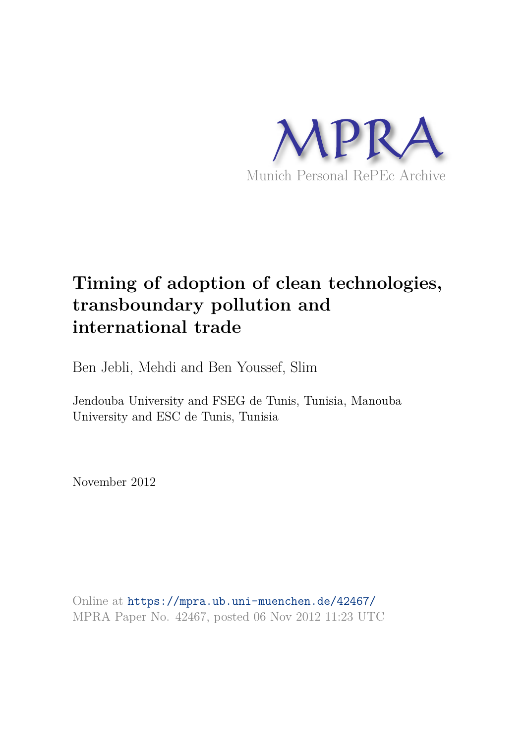

# **Timing of adoption of clean technologies, transboundary pollution and international trade**

Ben Jebli, Mehdi and Ben Youssef, Slim

Jendouba University and FSEG de Tunis, Tunisia, Manouba University and ESC de Tunis, Tunisia

November 2012

Online at https://mpra.ub.uni-muenchen.de/42467/ MPRA Paper No. 42467, posted 06 Nov 2012 11:23 UTC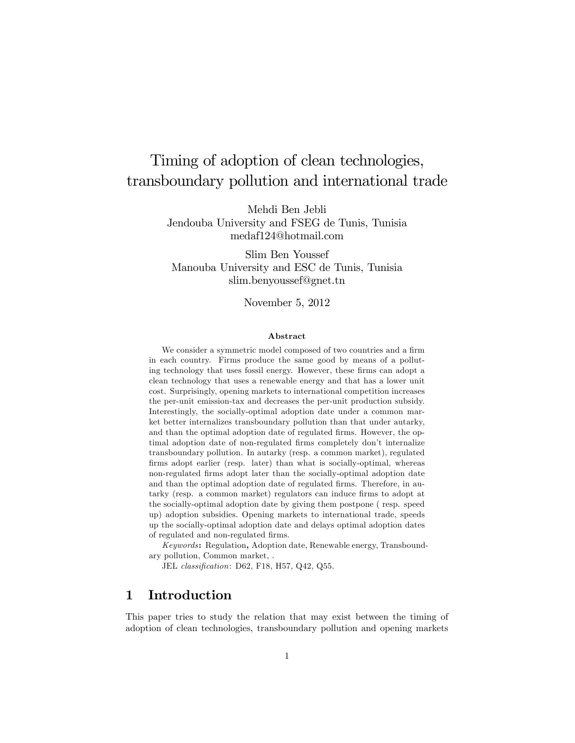## Timing of adoption of clean technologies, transboundary pollution and international trade

Mehdi Ben Jebli Jendouba University and FSEG de Tunis, Tunisia medaf124@hotmail.com

Slim Ben Youssef Manouba University and ESC de Tunis, Tunisia slim.benyoussef@gnet.tn

November 5, 2012

#### Abstract

We consider a symmetric model composed of two countries and a firm in each country. Firms produce the same good by means of a polluting technology that uses fossil energy. However, these firms can adopt a clean technology that uses a renewable energy and that has a lower unit cost. Surprisingly, opening markets to international competition increases the per-unit emission-tax and decreases the per-unit production subsidy. Interestingly, the socially-optimal adoption date under a common market better internalizes transboundary pollution than that under autarky, and than the optimal adoption date of regulated firms. However, the optimal adoption date of non-regulated firms completely don't internalize transboundary pollution. In autarky (resp. a common market), regulated firms adopt earlier (resp. later) than what is socially-optimal, whereas non-regulated Örms adopt later than the socially-optimal adoption date and than the optimal adoption date of regulated firms. Therefore, in autarky (resp. a common market) regulators can induce firms to adopt at the socially-optimal adoption date by giving them postpone ( resp. speed up) adoption subsidies. Opening markets to international trade, speeds up the socially-optimal adoption date and delays optimal adoption dates of regulated and non-regulated firms.

Keywords: Regulation, Adoption date, Renewable energy, Transboundary pollution, Common market, .

JEL classification: D62, F18, H57, Q42, Q55.

## 1 Introduction

This paper tries to study the relation that may exist between the timing of adoption of clean technologies, transboundary pollution and opening markets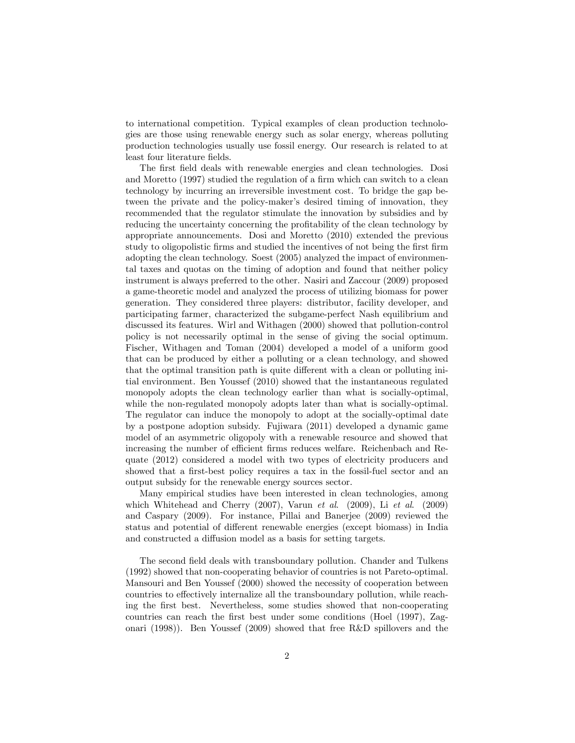to international competition. Typical examples of clean production technologies are those using renewable energy such as solar energy, whereas polluting production technologies usually use fossil energy. Our research is related to at least four literature fields.

The first field deals with renewable energies and clean technologies. Dosi and Moretto (1997) studied the regulation of a firm which can switch to a clean technology by incurring an irreversible investment cost. To bridge the gap between the private and the policy-maker's desired timing of innovation, they recommended that the regulator stimulate the innovation by subsidies and by reducing the uncertainty concerning the profitability of the clean technology by appropriate announcements. Dosi and Moretto (2010) extended the previous study to oligopolistic Örms and studied the incentives of not being the Örst Örm adopting the clean technology. Soest (2005) analyzed the impact of environmental taxes and quotas on the timing of adoption and found that neither policy instrument is always preferred to the other. Nasiri and Zaccour (2009) proposed a game-theoretic model and analyzed the process of utilizing biomass for power generation. They considered three players: distributor, facility developer, and participating farmer, characterized the subgame-perfect Nash equilibrium and discussed its features. Wirl and Withagen (2000) showed that pollution-control policy is not necessarily optimal in the sense of giving the social optimum. Fischer, Withagen and Toman (2004) developed a model of a uniform good that can be produced by either a polluting or a clean technology, and showed that the optimal transition path is quite different with a clean or polluting initial environment. Ben Youssef (2010) showed that the instantaneous regulated monopoly adopts the clean technology earlier than what is socially-optimal, while the non-regulated monopoly adopts later than what is socially-optimal. The regulator can induce the monopoly to adopt at the socially-optimal date by a postpone adoption subsidy. Fujiwara (2011) developed a dynamic game model of an asymmetric oligopoly with a renewable resource and showed that increasing the number of efficient firms reduces welfare. Reichenbach and Requate (2012) considered a model with two types of electricity producers and showed that a first-best policy requires a tax in the fossil-fuel sector and an output subsidy for the renewable energy sources sector.

Many empirical studies have been interested in clean technologies, among which Whitehead and Cherry (2007), Varun et al. (2009), Li et al. (2009) and Caspary (2009). For instance, Pillai and Banerjee (2009) reviewed the status and potential of different renewable energies (except biomass) in India and constructed a diffusion model as a basis for setting targets.

The second field deals with transboundary pollution. Chander and Tulkens (1992) showed that non-cooperating behavior of countries is not Pareto-optimal. Mansouri and Ben Youssef (2000) showed the necessity of cooperation between countries to effectively internalize all the transboundary pollution, while reaching the Örst best. Nevertheless, some studies showed that non-cooperating countries can reach the first best under some conditions (Hoel (1997), Zagonari (1998)). Ben Youssef (2009) showed that free R&D spillovers and the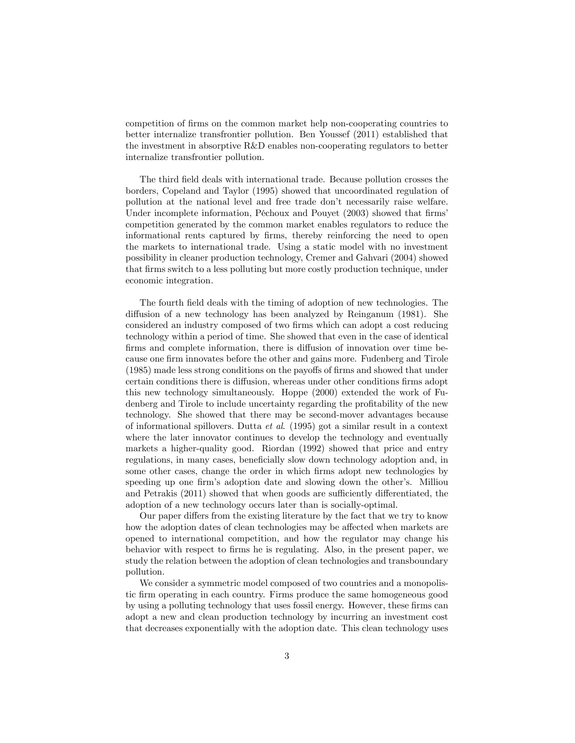competition of Örms on the common market help non-cooperating countries to better internalize transfrontier pollution. Ben Youssef (2011) established that the investment in absorptive R&D enables non-cooperating regulators to better internalize transfrontier pollution.

The third field deals with international trade. Because pollution crosses the borders, Copeland and Taylor (1995) showed that uncoordinated regulation of pollution at the national level and free trade don't necessarily raise welfare. Under incomplete information, Péchoux and Pouyet (2003) showed that firms' competition generated by the common market enables regulators to reduce the informational rents captured by firms, thereby reinforcing the need to open the markets to international trade. Using a static model with no investment possibility in cleaner production technology, Cremer and Gahvari (2004) showed that Örms switch to a less polluting but more costly production technique, under economic integration.

The fourth field deals with the timing of adoption of new technologies. The diffusion of a new technology has been analyzed by Reinganum (1981). She considered an industry composed of two firms which can adopt a cost reducing technology within a period of time. She showed that even in the case of identical firms and complete information, there is diffusion of innovation over time because one firm innovates before the other and gains more. Fudenberg and Tirole  $(1985)$  made less strong conditions on the payoffs of firms and showed that under certain conditions there is diffusion, whereas under other conditions firms adopt this new technology simultaneously. Hoppe (2000) extended the work of Fudenberg and Tirole to include uncertainty regarding the profitability of the new technology. She showed that there may be second-mover advantages because of informational spillovers. Dutta *et al.* (1995) got a similar result in a context where the later innovator continues to develop the technology and eventually markets a higher-quality good. Riordan (1992) showed that price and entry regulations, in many cases, beneficially slow down technology adoption and, in some other cases, change the order in which firms adopt new technologies by speeding up one firm's adoption date and slowing down the other's. Milliou and Petrakis  $(2011)$  showed that when goods are sufficiently differentiated, the adoption of a new technology occurs later than is socially-optimal.

Our paper differs from the existing literature by the fact that we try to know how the adoption dates of clean technologies may be affected when markets are opened to international competition, and how the regulator may change his behavior with respect to Örms he is regulating. Also, in the present paper, we study the relation between the adoption of clean technologies and transboundary pollution.

We consider a symmetric model composed of two countries and a monopolistic Örm operating in each country. Firms produce the same homogeneous good by using a polluting technology that uses fossil energy. However, these Örms can adopt a new and clean production technology by incurring an investment cost that decreases exponentially with the adoption date. This clean technology uses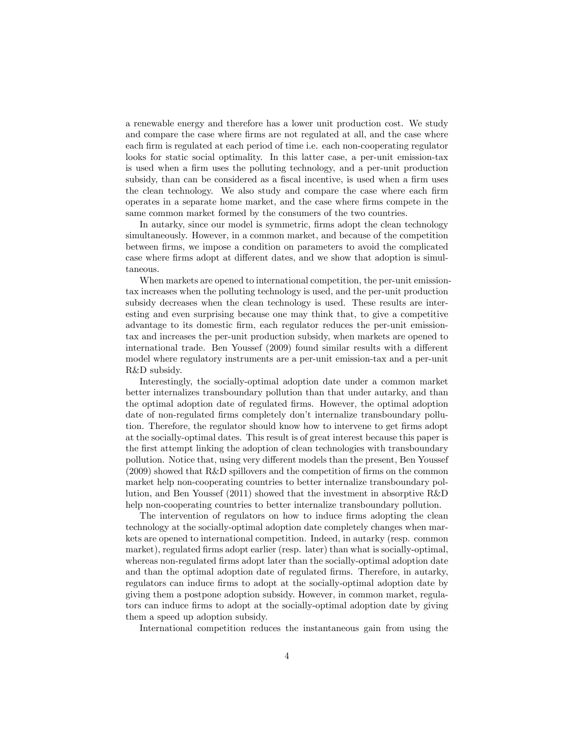a renewable energy and therefore has a lower unit production cost. We study and compare the case where firms are not regulated at all, and the case where each firm is regulated at each period of time i.e. each non-cooperating regulator looks for static social optimality. In this latter case, a per-unit emission-tax is used when a firm uses the polluting technology, and a per-unit production subsidy, than can be considered as a fiscal incentive, is used when a firm uses the clean technology. We also study and compare the case where each firm operates in a separate home market, and the case where Örms compete in the same common market formed by the consumers of the two countries.

In autarky, since our model is symmetric, firms adopt the clean technology simultaneously. However, in a common market, and because of the competition between firms, we impose a condition on parameters to avoid the complicated case where firms adopt at different dates, and we show that adoption is simultaneous.

When markets are opened to international competition, the per-unit emissiontax increases when the polluting technology is used, and the per-unit production subsidy decreases when the clean technology is used. These results are interesting and even surprising because one may think that, to give a competitive advantage to its domestic firm, each regulator reduces the per-unit emissiontax and increases the per-unit production subsidy, when markets are opened to international trade. Ben Youssef (2009) found similar results with a different model where regulatory instruments are a per-unit emission-tax and a per-unit R&D subsidy.

Interestingly, the socially-optimal adoption date under a common market better internalizes transboundary pollution than that under autarky, and than the optimal adoption date of regulated Örms. However, the optimal adoption date of non-regulated firms completely don't internalize transboundary pollution. Therefore, the regulator should know how to intervene to get firms adopt at the socially-optimal dates. This result is of great interest because this paper is the first attempt linking the adoption of clean technologies with transboundary pollution. Notice that, using very different models than the present, Ben Youssef  $(2009)$  showed that R&D spillovers and the competition of firms on the common market help non-cooperating countries to better internalize transboundary pollution, and Ben Youssef (2011) showed that the investment in absorptive R&D help non-cooperating countries to better internalize transboundary pollution.

The intervention of regulators on how to induce firms adopting the clean technology at the socially-optimal adoption date completely changes when markets are opened to international competition. Indeed, in autarky (resp. common market), regulated firms adopt earlier (resp. later) than what is socially-optimal, whereas non-regulated firms adopt later than the socially-optimal adoption date and than the optimal adoption date of regulated firms. Therefore, in autarky, regulators can induce firms to adopt at the socially-optimal adoption date by giving them a postpone adoption subsidy. However, in common market, regulators can induce firms to adopt at the socially-optimal adoption date by giving them a speed up adoption subsidy.

International competition reduces the instantaneous gain from using the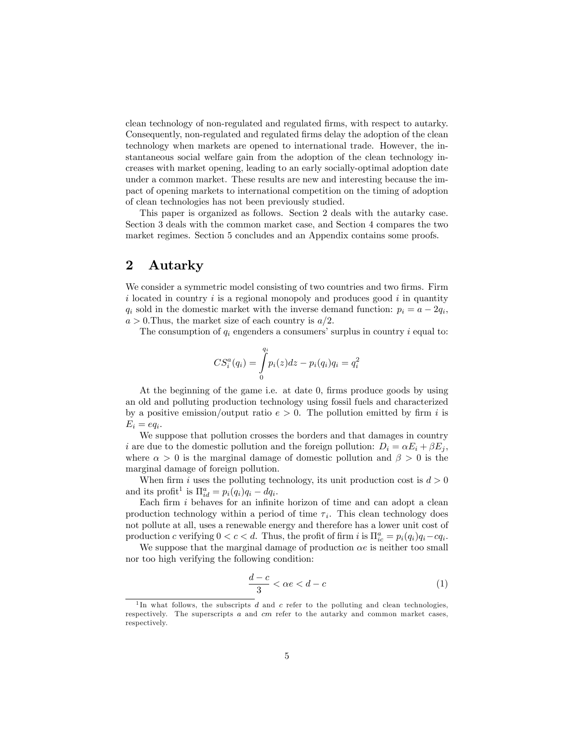clean technology of non-regulated and regulated Örms, with respect to autarky. Consequently, non-regulated and regulated firms delay the adoption of the clean technology when markets are opened to international trade. However, the instantaneous social welfare gain from the adoption of the clean technology increases with market opening, leading to an early socially-optimal adoption date under a common market. These results are new and interesting because the impact of opening markets to international competition on the timing of adoption of clean technologies has not been previously studied.

This paper is organized as follows. Section 2 deals with the autarky case. Section 3 deals with the common market case, and Section 4 compares the two market regimes. Section 5 concludes and an Appendix contains some proofs.

## 2 Autarky

We consider a symmetric model consisting of two countries and two firms. Firm  $i$  located in country  $i$  is a regional monopoly and produces good  $i$  in quantity  $q_i$  sold in the domestic market with the inverse demand function:  $p_i = a - 2q_i$ ,  $a > 0$ . Thus, the market size of each country is  $a/2$ .

The consumption of  $q_i$  engenders a consumers' surplus in country i equal to:

$$
CS^a_i(q_i)=\int\limits_0^{q_i}p_i(z)dz-p_i(q_i)q_i=q_i^2
$$

At the beginning of the game i.e. at date 0, firms produce goods by using an old and polluting production technology using fossil fuels and characterized by a positive emission/output ratio  $e > 0$ . The pollution emitted by firm i is  $E_i = eq_i.$ 

We suppose that pollution crosses the borders and that damages in country i are due to the domestic pollution and the foreign pollution:  $D_i = \alpha E_i + \beta E_j$ , where  $\alpha > 0$  is the marginal damage of domestic pollution and  $\beta > 0$  is the marginal damage of foreign pollution.

When firm i uses the polluting technology, its unit production cost is  $d > 0$ and its profit<sup>1</sup> is  $\Pi_{id}^a = p_i(q_i)q_i - dq_i$ .

Each firm  $i$  behaves for an infinite horizon of time and can adopt a clean production technology within a period of time  $\tau_i$ . This clean technology does not pollute at all, uses a renewable energy and therefore has a lower unit cost of production c verifying  $0 < c < d$ . Thus, the profit of firm i is  $\Pi_{ic}^a = p_i(q_i)q_i - cq_i$ .

We suppose that the marginal damage of production  $\alpha e$  is neither too small nor too high verifying the following condition:

$$
\frac{d-c}{3} < \alpha e < d-c \tag{1}
$$

<sup>&</sup>lt;sup>1</sup>In what follows, the subscripts d and c refer to the polluting and clean technologies, respectively. The superscripts  $a$  and  $cm$  refer to the autarky and common market cases, respectively.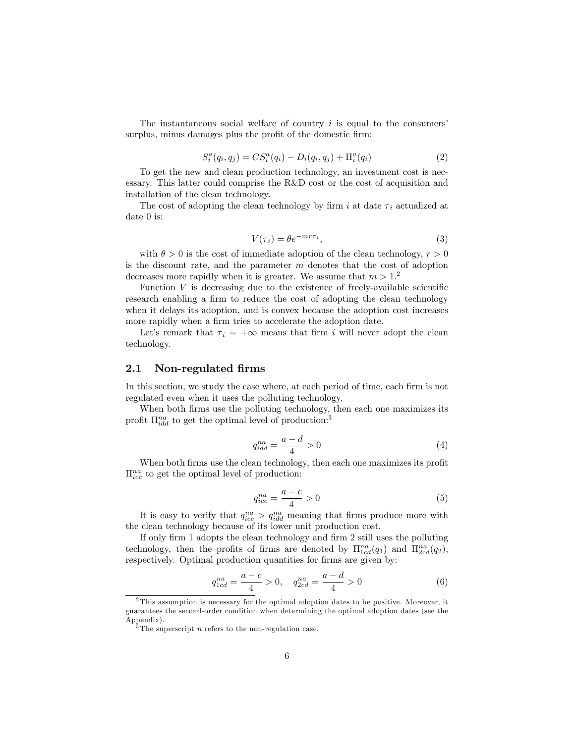The instantaneous social welfare of country  $i$  is equal to the consumers' surplus, minus damages plus the profit of the domestic firm:

$$
S_i^a(q_i, q_j) = CS_i^a(q_i) - D_i(q_i, q_j) + \Pi_i^a(q_i)
$$
\n(2)

To get the new and clean production technology, an investment cost is necessary. This latter could comprise the R&D cost or the cost of acquisition and installation of the clean technology.

The cost of adopting the clean technology by firm i at date  $\tau_i$  actualized at date 0 is:

$$
V(\tau_i) = \theta e^{-m\tau_i},\tag{3}
$$

with  $\theta > 0$  is the cost of immediate adoption of the clean technology,  $r > 0$ is the discount rate, and the parameter  $m$  denotes that the cost of adoption decreases more rapidly when it is greater. We assume that  $m > 1$ .<sup>2</sup>

Function  $V$  is decreasing due to the existence of freely-available scientific research enabling a firm to reduce the cost of adopting the clean technology when it delays its adoption, and is convex because the adoption cost increases more rapidly when a firm tries to accelerate the adoption date.

Let's remark that  $\tau_i = +\infty$  means that firm i will never adopt the clean technology.

#### 2.1 Non-regulated firms

In this section, we study the case where, at each period of time, each firm is not regulated even when it uses the polluting technology.

When both firms use the polluting technology, then each one maximizes its profit  $\Pi_{idd}^{na}$  to get the optimal level of production:<sup>3</sup>

$$
q_{idd}^{na} = \frac{a-d}{4} > 0 \tag{4}
$$

When both firms use the clean technology, then each one maximizes its profit  $\Pi_{ice}^{na}$  to get the optimal level of production:

$$
q_{icc}^{na} = \frac{a-c}{4} > 0\tag{5}
$$

It is easy to verify that  $q_{ice}^{na} > q_{idd}^{na}$  meaning that firms produce more with the clean technology because of its lower unit production cost:

If only firm 1 adopts the clean technology and firm 2 still uses the polluting technology, then the profits of firms are denoted by  $\Pi^{na}_{1cd}(q_1)$  and  $\Pi^{na}_{2cd}(q_2)$ , respectively. Optimal production quantities for firms are given by:

$$
q_{1cd}^{na} = \frac{a-c}{4} > 0, \quad q_{2cd}^{na} = \frac{a-d}{4} > 0
$$
 (6)

<sup>2</sup> This assumption is necessary for the optimal adoption dates to be positive. Moreover, it guarantees the second-order condition when determining the optimal adoption dates (see the Appendix).

 $\frac{3}{3}$ The superscript *n* refers to the non-regulation case.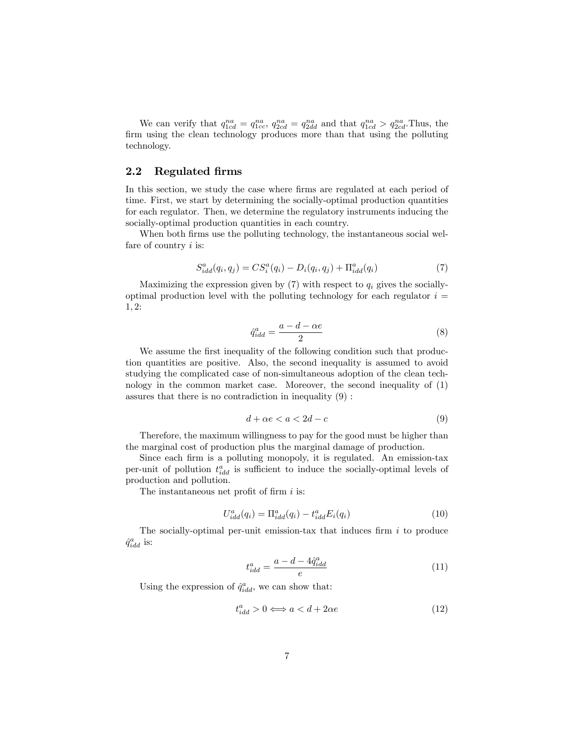We can verify that  $q_{1cd}^{na} = q_{1cc}^{na}$ ,  $q_{2cd}^{na} = q_{2dd}^{na}$  and that  $q_{1cd}^{na} > q_{2cd}^{na}$ . Thus, the firm using the clean technology produces more than that using the polluting technology.

## 2.2 Regulated Örms

In this section, we study the case where firms are regulated at each period of time. First, we start by determining the socially-optimal production quantities for each regulator. Then, we determine the regulatory instruments inducing the socially-optimal production quantities in each country.

When both firms use the polluting technology, the instantaneous social welfare of country  $i$  is:

$$
S_{idd}^{a}(q_i, q_j) = CS_i^{a}(q_i) - D_i(q_i, q_j) + \Pi_{idd}^{a}(q_i)
$$
\n(7)

Maximizing the expression given by  $(7)$  with respect to  $q_i$  gives the sociallyoptimal production level with the polluting technology for each regulator  $i =$  $1, 2:$ 

$$
\hat{q}_{idd}^a = \frac{a - d - \alpha e}{2} \tag{8}
$$

We assume the first inequality of the following condition such that production quantities are positive. Also, the second inequality is assumed to avoid studying the complicated case of non-simultaneous adoption of the clean technology in the common market case. Moreover, the second inequality of (1) assures that there is no contradiction in inequality (9) :

$$
d + \alpha e < a < 2d - c \tag{9}
$$

Therefore, the maximum willingness to pay for the good must be higher than the marginal cost of production plus the marginal damage of production.

Since each firm is a polluting monopoly, it is regulated. An emission-tax per-unit of pollution  $t_{idd}^a$  is sufficient to induce the socially-optimal levels of production and pollution.

The instantaneous net profit of firm  $i$  is:

$$
U_{idd}^a(q_i) = \Pi_{idd}^a(q_i) - t_{idd}^a E_i(q_i)
$$
\n
$$
(10)
$$

The socially-optimal per-unit emission-tax that induces firm  $i$  to produce  $\hat{q}^a_{idd}$  is:

$$
t_{idd}^a = \frac{a - d - 4\hat{q}_{idd}^a}{e} \tag{11}
$$

Using the expression of  $\hat{q}^a_{idd}$ , we can show that:

$$
t_{idd}^a > 0 \Longleftrightarrow a < d + 2\alpha e \tag{12}
$$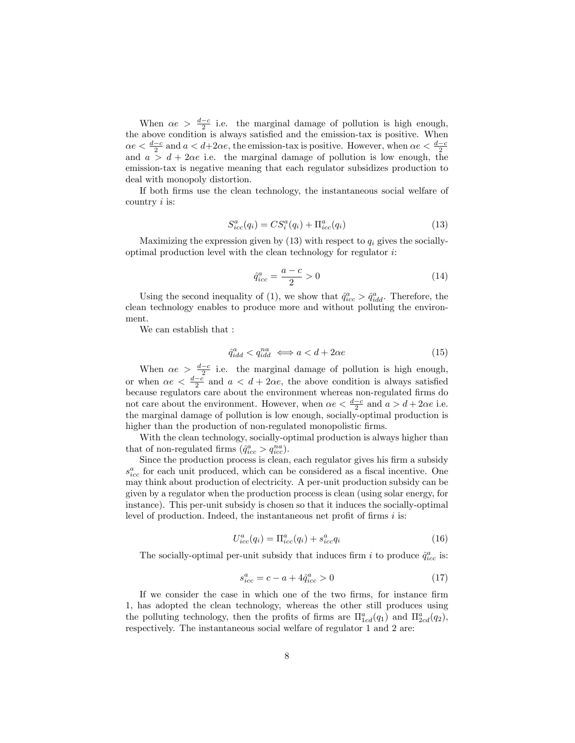When  $\alpha e > \frac{d-c}{2}$  i.e. the marginal damage of pollution is high enough, the above condition is always satisfied and the emission-tax is positive. When  $\alpha e < \frac{d-c}{2}$  and  $a < d+2\alpha e$ , the emission-tax is positive. However, when  $\alpha e < \frac{d-c}{2}$ and  $a > d + 2\alpha e$  i.e. the marginal damage of pollution is low enough, the emission-tax is negative meaning that each regulator subsidizes production to deal with monopoly distortion.

If both Örms use the clean technology, the instantaneous social welfare of country  $i$  is:

$$
S_{icc}^{a}(q_i) = CS_i^{a}(q_i) + \Pi_{icc}^{a}(q_i)
$$
\n(13)

Maximizing the expression given by  $(13)$  with respect to  $q_i$  gives the sociallyoptimal production level with the clean technology for regulator i:

$$
\hat{q}_{icc}^a = \frac{a-c}{2} > 0\tag{14}
$$

Using the second inequality of (1), we show that  $\hat{q}^a_{icc} > \hat{q}^a_{idd}$ . Therefore, the clean technology enables to produce more and without polluting the environment.

We can establish that :

$$
\hat{q}_{idd}^a < q_{idd}^{na} \iff a < d + 2\alpha e \tag{15}
$$

When  $\alpha e > \frac{d-c}{2}$  i.e. the marginal damage of pollution is high enough, or when  $\alpha e < \frac{d-c}{2}$  and  $a < d+2\alpha e$ , the above condition is always satisfied because regulators care about the environment whereas non-regulated firms do not care about the environment. However, when  $\alpha e < \frac{d-c}{2}$  and  $a > d + 2\alpha e$  i.e. the marginal damage of pollution is low enough, socially-optimal production is higher than the production of non-regulated monopolistic firms.

With the clean technology, socially-optimal production is always higher than that of non-regulated firms  $(\hat{q}^a_{icc} > q^{na}_{icc})$ .

Since the production process is clean, each regulator gives his firm a subsidy  $s_{ice}^a$  for each unit produced, which can be considered as a fiscal incentive. One may think about production of electricity. A per-unit production subsidy can be given by a regulator when the production process is clean (using solar energy, for instance). This per-unit subsidy is chosen so that it induces the socially-optimal level of production. Indeed, the instantaneous net profit of firms  $i$  is:

$$
U_{icc}^{a}(q_i) = \Pi_{icc}^{a}(q_i) + s_{icc}^{a}q_i
$$
\n(16)

The socially-optimal per-unit subsidy that induces firm i to produce  $\hat{q}^a_{icc}$  is:

$$
s_{icc}^a = c - a + 4\hat{q}_{icc}^a > 0\tag{17}
$$

If we consider the case in which one of the two firms, for instance firm 1; has adopted the clean technology, whereas the other still produces using the polluting technology, then the profits of firms are  $\Pi^a_{1cd}(q_1)$  and  $\Pi^a_{2cd}(q_2)$ , respectively. The instantaneous social welfare of regulator 1 and 2 are: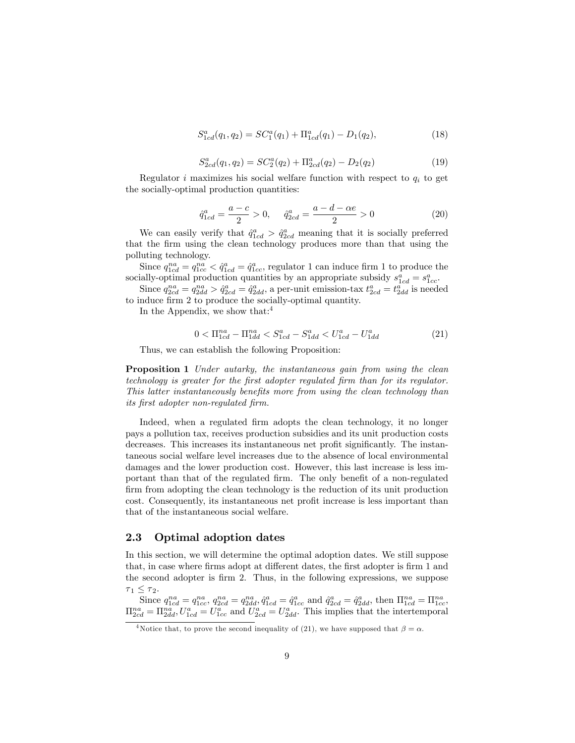$$
S_{1cd}^a(q_1, q_2) = SC_1^a(q_1) + \Pi_{1cd}^a(q_1) - D_1(q_2), \qquad (18)
$$

$$
S_{2cd}^{a}(q_1, q_2) = SC_2^{a}(q_2) + \Pi_{2cd}^{a}(q_2) - D_2(q_2)
$$
\n(19)

Regulator i maximizes his social welfare function with respect to  $q_i$  to get the socially-optimal production quantities:

$$
\hat{q}_{1cd}^{a} = \frac{a-c}{2} > 0, \quad \hat{q}_{2cd}^{a} = \frac{a-d-\alpha e}{2} > 0
$$
\n(20)

We can easily verify that  $\hat{q}^a_{1cd} > \hat{q}^a_{2cd}$  meaning that it is socially preferred that the Örm using the clean technology produces more than that using the polluting technology.

Since  $q_{1cd}^{na} = q_{1cc}^{na} < \hat{q}_{1cd}^{a} = \hat{q}_{1cc}^{a}$ , regulator 1 can induce firm 1 to produce the socially-optimal production quantities by an appropriate subsidy  $s_{1cd}^a = s_{1cc}^a$ .

Since  $q_{2cd}^{na} = q_{2dd}^{na} > \hat{q}_{2cd}^a = \hat{q}_{2dd}^a$ , a per-unit emission-tax  $t_{2cd}^a = t_{2dd}^a$  is needed to induce firm 2 to produce the socially-optimal quantity.

In the Appendix, we show that: $4$ 

$$
0 < \Pi_{1cd}^{na} - \Pi_{1dd}^{na} < S_{1cd}^a - S_{1dd}^a < U_{1cd}^a - U_{1dd}^a \tag{21}
$$

Thus, we can establish the following Proposition:

**Proposition 1** Under autarky, the instantaneous gain from using the clean technology is greater for the Örst adopter regulated Örm than for its regulator. This latter instantaneously benefits more from using the clean technology than its Örst adopter non-regulated Örm.

Indeed, when a regulated firm adopts the clean technology, it no longer pays a pollution tax, receives production subsidies and its unit production costs decreases. This increases its instantaneous net profit significantly. The instantaneous social welfare level increases due to the absence of local environmental damages and the lower production cost. However, this last increase is less important than that of the regulated firm. The only benefit of a non-regulated firm from adopting the clean technology is the reduction of its unit production cost. Consequently, its instantaneous net profit increase is less important than that of the instantaneous social welfare.

#### 2.3 Optimal adoption dates

In this section, we will determine the optimal adoption dates. We still suppose that, in case where firms adopt at different dates, the first adopter is firm 1 and the second adopter is firm 2. Thus, in the following expressions, we suppose  $\tau_1 \leq \tau_2$ .

Since  $q_{1cd}^{na} = q_{1cc}^{na}$ ,  $q_{2cd}^{na} = q_{2dd}^{na}$ ,  $\hat{q}_{1cd}^{a} = \hat{q}_{1cc}^{a}$  and  $\hat{q}_{2cd}^{a} = \hat{q}_{2dd}^{a}$ , then  $\Pi_{1cd}^{na} = \Pi_{1cc}^{na}$ ,  $\Pi_{2cd}^{na} = \Pi_{2dd}^{na}, U_{1cd}^a = U_{1cc}^a$  and  $U_{2cd}^a = U_{2dd}^a$ . This implies that the intertemporal

<sup>&</sup>lt;sup>4</sup>Notice that, to prove the second inequality of (21), we have supposed that  $\beta = \alpha$ .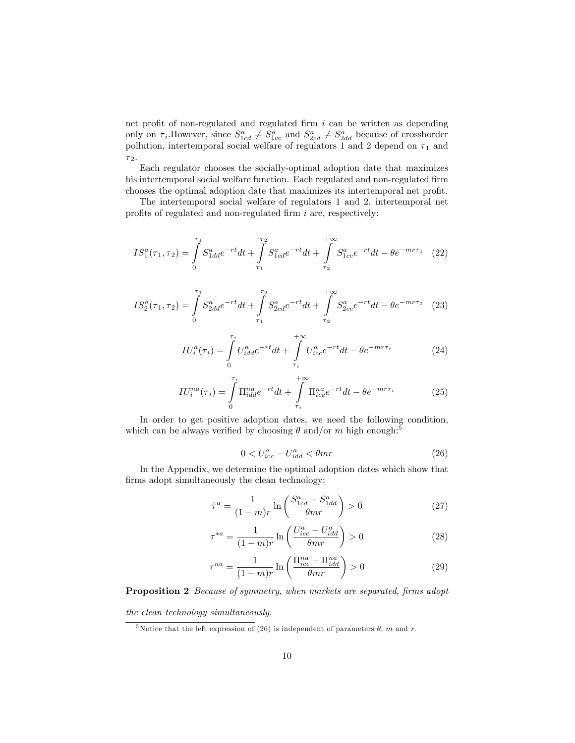net profit of non-regulated and regulated firm  $i$  can be written as depending only on  $\tau_i$ . However, since  $S_{1cd}^a \neq S_{1cc}^a$  and  $S_{2cd}^a \neq S_{2dd}^a$  because of crossborder pollution, intertemporal social welfare of regulators 1 and 2 depend on  $\tau_1$  and  $\tau_2.$ 

Each regulator chooses the socially-optimal adoption date that maximizes his intertemporal social welfare function. Each regulated and non-regulated firm chooses the optimal adoption date that maximizes its intertemporal net profit.

The intertemporal social welfare of regulators 1 and 2, intertemporal net profits of regulated and non-regulated firm  $i$  are, respectively:

$$
IS_1^a(\tau_1, \tau_2) = \int_0^{\tau_1} S_{1dd}^a e^{-rt} dt + \int_{\tau_1}^{\tau_2} S_{1cd}^a e^{-rt} dt + \int_{\tau_2}^{+\infty} S_{1cc}^a e^{-rt} dt - \theta e^{-mr\tau_1} \tag{22}
$$

$$
IS_{2}^{a}(\tau_{1},\tau_{2}) = \int_{0}^{\tau_{1}} S_{2dd}^{a} e^{-rt} dt + \int_{\tau_{1}}^{\tau_{2}} S_{2cd}^{a} e^{-rt} dt + \int_{\tau_{2}}^{+\infty} S_{2cc}^{a} e^{-rt} dt - \theta e^{-mr\tau_{2}} \tag{23}
$$

$$
IU_i^a(\tau_i) = \int_0^{\tau_i} U_{idd}^a e^{-rt} dt + \int_{\tau_i}^{+\infty} U_{ice}^a e^{-rt} dt - \theta e^{-mr\tau_i}
$$
 (24)

$$
IU_i^{na}(\tau_i) = \int\limits_0^{\tau_i} \Pi_{idd}^{na} e^{-rt} dt + \int\limits_{\tau_i}^{+\infty} \Pi_{ice}^{na} e^{-rt} dt - \theta e^{-mr\tau_i}
$$
(25)

In order to get positive adoption dates, we need the following condition, which can be always verified by choosing  $\theta$  and/or m high enough:<sup>5</sup>

$$
0 < U_{icc}^a - U_{idd}^a < \theta mr \tag{26}
$$

In the Appendix, we determine the optimal adoption dates which show that firms adopt simultaneously the clean technology:

$$
\hat{\tau}^a = \frac{1}{(1-m)r} \ln \left( \frac{S^a_{1cd} - S^a_{1dd}}{\theta mr} \right) > 0 \tag{27}
$$

$$
\tau^{*a} = \frac{1}{(1-m)r} \ln \left( \frac{U_{icc}^a - U_{idd}^a}{\theta mr} \right) > 0 \tag{28}
$$

$$
\tau^{na} = \frac{1}{(1-m)r} \ln \left( \frac{\Pi_{icc}^{na} - \Pi_{idd}^{na}}{\theta mr} \right) > 0 \tag{29}
$$

#### Proposition 2 Because of symmetry, when markets are separated, firms adopt

the clean technology simultaneously.

<sup>&</sup>lt;sup>5</sup>Notice that the left expression of (26) is independent of parameters  $\theta$ , m and r.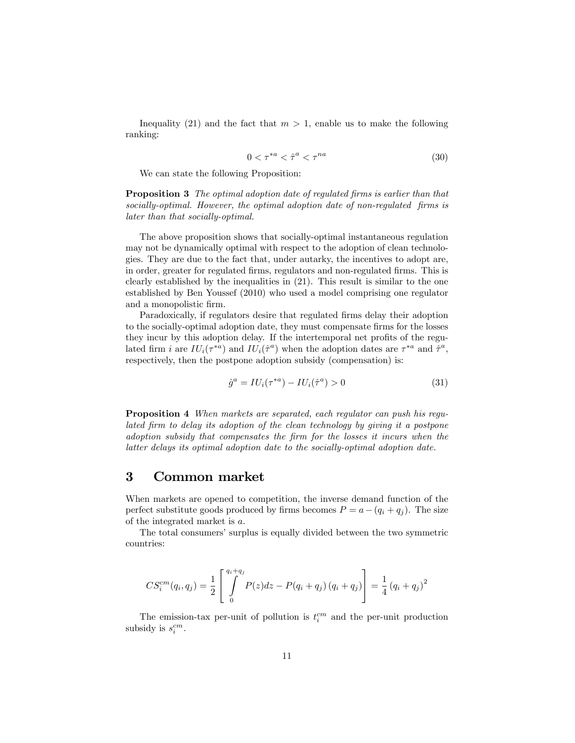Inequality (21) and the fact that  $m > 1$ , enable us to make the following ranking:

$$
0 < \tau^{*a} < \hat{\tau}^a < \tau^{na} \tag{30}
$$

We can state the following Proposition:

**Proposition 3** The optimal adoption date of regulated firms is earlier than that socially-optimal. However, the optimal adoption date of non-regulated firms is later than that socially-optimal.

The above proposition shows that socially-optimal instantaneous regulation may not be dynamically optimal with respect to the adoption of clean technologies. They are due to the fact that, under autarky, the incentives to adopt are, in order, greater for regulated firms, regulators and non-regulated firms. This is clearly established by the inequalities in (21). This result is similar to the one established by Ben Youssef (2010) who used a model comprising one regulator and a monopolistic firm.

Paradoxically, if regulators desire that regulated firms delay their adoption to the socially-optimal adoption date, they must compensate firms for the losses they incur by this adoption delay. If the intertemporal net profits of the regulated firm i are  $IU_i(\tau^{*a})$  and  $IU_i(\hat{\tau}^a)$  when the adoption dates are  $\tau^{*a}$  and  $\hat{\tau}^a$ , respectively, then the postpone adoption subsidy (compensation) is:

$$
\hat{g}^a = IU_i(\tau^{*a}) - IU_i(\hat{\tau}^a) > 0 \tag{31}
$$

Proposition 4 When markets are separated, each regulator can push his regulated Örm to delay its adoption of the clean technology by giving it a postpone adoption subsidy that compensates the Örm for the losses it incurs when the latter delays its optimal adoption date to the socially-optimal adoption date.

## 3 Common market

When markets are opened to competition, the inverse demand function of the perfect substitute goods produced by firms becomes  $P = a - (q_i + q_j)$ . The size of the integrated market is a.

The total consumersí surplus is equally divided between the two symmetric countries:

$$
CS_i^{cm}(q_i, q_j) = \frac{1}{2} \left[ \int_0^{q_i + q_j} P(z) dz - P(q_i + q_j) (q_i + q_j) \right] = \frac{1}{4} (q_i + q_j)^2
$$

The emission-tax per-unit of pollution is  $t_i^{cm}$  and the per-unit production subsidy is  $s_i^{cm}$ .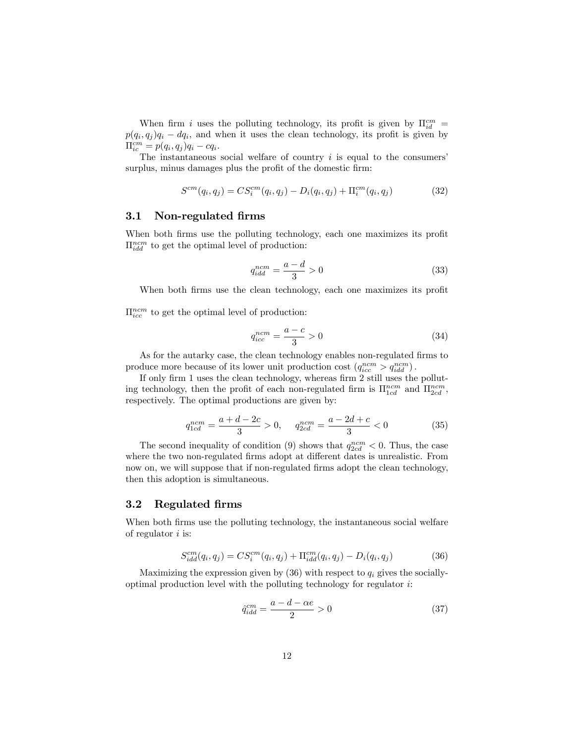When firm i uses the polluting technology, its profit is given by  $\Pi_{id}^{cm} =$  $p(q_i, q_j)q_i - dq_i$ , and when it uses the clean technology, its profit is given by  $\Pi_{ic}^{cm} = p(q_i, q_j)q_i - cq_i.$ 

The instantaneous social welfare of country  $i$  is equal to the consumers' surplus, minus damages plus the profit of the domestic firm:

$$
S^{cm}(q_i, q_j) = CS_i^{cm}(q_i, q_j) - D_i(q_i, q_j) + \Pi_i^{cm}(q_i, q_j)
$$
\n(32)

#### 3.1 Non-regulated firms

When both firms use the polluting technology, each one maximizes its profit  $\Pi_{idd}^{ncm}$  to get the optimal level of production:

$$
q_{idd}^{ncm} = \frac{a-d}{3} > 0\tag{33}
$$

When both firms use the clean technology, each one maximizes its profit

 $\Pi_{ice}^{ncm}$  to get the optimal level of production:

$$
q_{icc}^{ncm} = \frac{a-c}{3} > 0\tag{34}
$$

As for the autarky case, the clean technology enables non-regulated firms to produce more because of its lower unit production cost  $(q_{ice}^{ncm} > q_{idd}^{ncm})$ .

If only firm 1 uses the clean technology, whereas firm 2 still uses the polluting technology, then the profit of each non-regulated firm is  $\Pi_{1cd}^{ncm}$  and  $\Pi_{2cd}^{ncm}$ , respectively. The optimal productions are given by:

$$
q_{1cd}^{ncm} = \frac{a+d-2c}{3} > 0, \quad q_{2cd}^{ncm} = \frac{a-2d+c}{3} < 0
$$
 (35)

The second inequality of condition (9) shows that  $q_{2cd}^{ncm} < 0$ . Thus, the case where the two non-regulated firms adopt at different dates is unrealistic. From now on, we will suppose that if non-regulated firms adopt the clean technology, then this adoption is simultaneous.

#### 3.2 Regulated Örms

When both firms use the polluting technology, the instantaneous social welfare of regulator  $i$  is:

$$
S_{idd}^{cm}(q_i, q_j) = CS_i^{cm}(q_i, q_j) + \Pi_{idd}^{cm}(q_i, q_j) - D_i(q_i, q_j)
$$
\n(36)

Maximizing the expression given by  $(36)$  with respect to  $q_i$  gives the sociallyoptimal production level with the polluting technology for regulator i:

$$
\hat{q}_{idd}^{cm} = \frac{a - d - \alpha e}{2} > 0\tag{37}
$$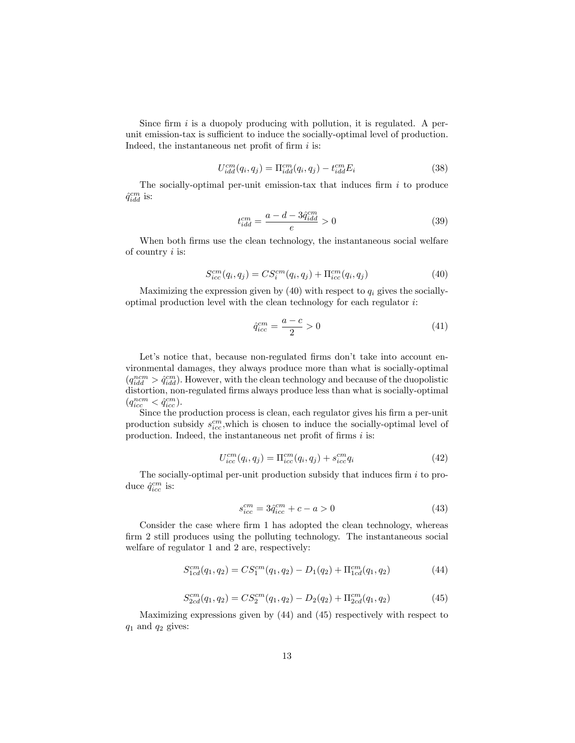Since firm  $i$  is a duopoly producing with pollution, it is regulated. A perunit emission-tax is sufficient to induce the socially-optimal level of production. Indeed, the instantaneous net profit of firm  $i$  is:

$$
U_{idd}^{cm}(q_i, q_j) = \Pi_{idd}^{cm}(q_i, q_j) - t_{idd}^{cm} E_i
$$
\n(38)

The socially-optimal per-unit emission-tax that induces firm  $i$  to produce  $\hat{q}^{cm}_{idd}$  is:

$$
t_{idd}^{cm} = \frac{a - d - 3\hat{q}_{idd}^{cm}}{e} > 0
$$
\n(39)

When both firms use the clean technology, the instantaneous social welfare of country  $i$  is:

$$
S_{icc}^{cm}(q_i, q_j) = CS_i^{cm}(q_i, q_j) + \Pi_{icc}^{cm}(q_i, q_j)
$$
\n(40)

Maximizing the expression given by  $(40)$  with respect to  $q_i$  gives the sociallyoptimal production level with the clean technology for each regulator  $i$ :

$$
\hat{q}_{icc}^{cm} = \frac{a-c}{2} > 0\tag{41}
$$

Let's notice that, because non-regulated firms don't take into account environmental damages, they always produce more than what is socially-optimal  $(q_{idd}^{ncm} > \hat{q}_{idd}^{cm})$ . However, with the clean technology and because of the duopolistic distortion, non-regulated firms always produce less than what is socially-optimal  $(q_{icc}^{ncm} < \hat{q}_{icc}^{cm}).$ 

Since the production process is clean, each regulator gives his firm a per-unit production subsidy  $s_{ice}^{cm}$ , which is chosen to induce the socially-optimal level of production. Indeed, the instantaneous net profit of firms  $i$  is:

$$
U_{icc}^{cm}(q_i, q_j) = \Pi_{icc}^{cm}(q_i, q_j) + s_{icc}^{cm}q_i
$$
\n(42)

The socially-optimal per-unit production subsidy that induces firm  $i$  to produce  $\hat{q}^{cm}_{icc}$  is:

$$
s_{icc}^{cm} = 3\hat{q}_{icc}^{cm} + c - a > 0\tag{43}
$$

Consider the case where firm 1 has adopted the clean technology, whereas firm 2 still produces using the polluting technology. The instantaneous social welfare of regulator 1 and 2 are, respectively:

$$
S_{1cd}^{cm}(q_1, q_2) = CS_1^{cm}(q_1, q_2) - D_1(q_2) + \Pi_{1cd}^{cm}(q_1, q_2)
$$
\n(44)

$$
S_{2cd}^{cm}(q_1, q_2) = CS_2^{cm}(q_1, q_2) - D_2(q_2) + \Pi_{2cd}^{cm}(q_1, q_2)
$$
\n(45)

Maximizing expressions given by (44) and (45) respectively with respect to  $q_1$  and  $q_2$  gives: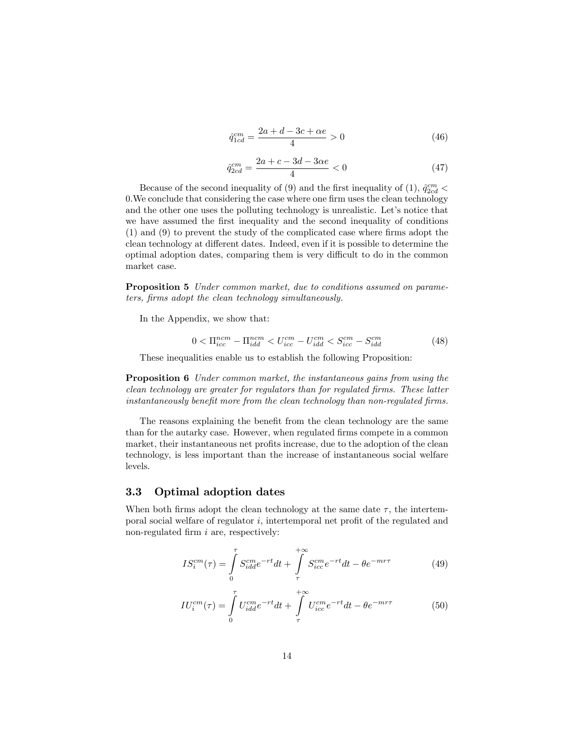$$
\hat{q}_{1cd}^{cm} = \frac{2a + d - 3c + \alpha e}{4} > 0\tag{46}
$$

$$
\hat{q}_{2cd}^{cm} = \frac{2a + c - 3d - 3\alpha e}{4} < 0\tag{47}
$$

Because of the second inequality of (9) and the first inequality of (1),  $\hat{q}^{cm}_{2cd}$  < 0. We conclude that considering the case where one firm uses the clean technology and the other one uses the polluting technology is unrealistic. Let's notice that we have assumed the first inequality and the second inequality of conditions  $(1)$  and  $(9)$  to prevent the study of the complicated case where firms adopt the clean technology at different dates. Indeed, even if it is possible to determine the optimal adoption dates, comparing them is very difficult to do in the common market case.

Proposition 5 Under common market, due to conditions assumed on parameters, Örms adopt the clean technology simultaneously.

In the Appendix, we show that:

$$
0 < \Pi_{icc}^{ncm} - \Pi_{idd}^{ncm} < U_{icc}^{cm} - U_{idd}^{cm} < S_{icc}^{cm} - S_{idd}^{cm} \tag{48}
$$

These inequalities enable us to establish the following Proposition:

Proposition 6 Under common market, the instantaneous gains from using the clean technology are greater for regulators than for regulated firms. These latter instantaneously benefit more from the clean technology than non-regulated firms.

The reasons explaining the benefit from the clean technology are the same than for the autarky case. However, when regulated firms compete in a common market, their instantaneous net profits increase, due to the adoption of the clean technology, is less important than the increase of instantaneous social welfare levels.

#### 3.3 Optimal adoption dates

When both firms adopt the clean technology at the same date  $\tau$ , the intertemporal social welfare of regulator  $i$ , intertemporal net profit of the regulated and non-regulated firm  $i$  are, respectively:

$$
IS_i^{cm}(\tau) = \int_{0}^{\tau} S_{idd}^{cm} e^{-rt} dt + \int_{\tau}^{+\infty} S_{ice}^{cm} e^{-rt} dt - \theta e^{-mr\tau}
$$
 (49)

$$
IU_i^{cm}(\tau) = \int_0^\tau U_{idd}^{cm} e^{-rt} dt + \int_\tau^{+\infty} U_{icc}^{cm} e^{-rt} dt - \theta e^{-m\tau}
$$
(50)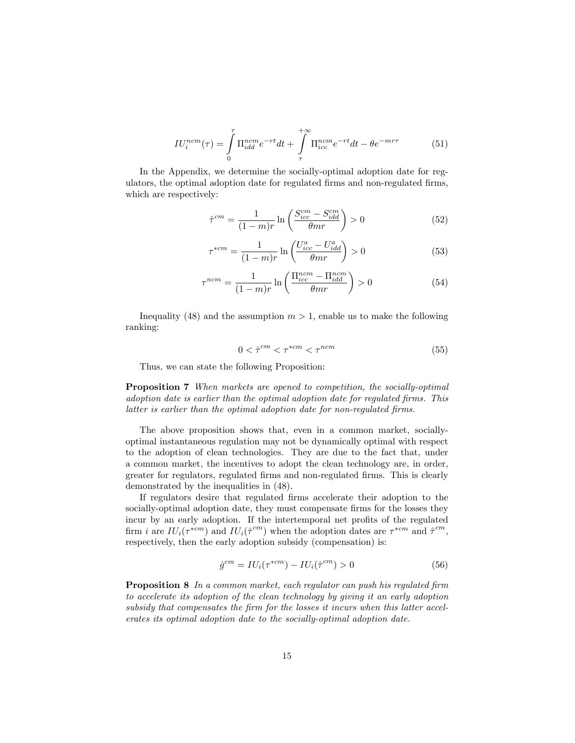$$
IU_i^{ncm}(\tau) = \int\limits_0^\tau \Pi_{idd}^{ncm} e^{-rt} dt + \int\limits_{\tau}^{+\infty} \Pi_{icc}^{ncm} e^{-rt} dt - \theta e^{-mr\tau}
$$
(51)

In the Appendix, we determine the socially-optimal adoption date for regulators, the optimal adoption date for regulated Örms and non-regulated Örms, which are respectively:

$$
\hat{\tau}^{cm} = \frac{1}{(1-m)r} \ln \left( \frac{S_{icc}^{cm} - S_{idd}^{cm}}{\theta mr} \right) > 0 \tag{52}
$$

$$
\tau^{*cm} = \frac{1}{(1-m)r} \ln \left( \frac{U_{icc}^a - U_{idd}^a}{\theta mr} \right) > 0 \tag{53}
$$

$$
\tau^{ncm} = \frac{1}{(1-m)r} \ln \left( \frac{\Pi_{icc}^{ncm} - \Pi_{idd}^{ncm}}{\theta mr} \right) > 0 \tag{54}
$$

Inequality (48) and the assumption  $m > 1$ , enable us to make the following ranking:

$$
0 < \hat{\tau}^{cm} < \tau^{*cm} < \tau^{ncm} \tag{55}
$$

Thus, we can state the following Proposition:

Proposition 7 When markets are opened to competition, the socially-optimal adoption date is earlier than the optimal adoption date for regulated firms. This latter is earlier than the optimal adoption date for non-regulated firms.

The above proposition shows that, even in a common market, sociallyoptimal instantaneous regulation may not be dynamically optimal with respect to the adoption of clean technologies. They are due to the fact that, under a common market, the incentives to adopt the clean technology are, in order, greater for regulators, regulated Örms and non-regulated Örms. This is clearly demonstrated by the inequalities in (48).

If regulators desire that regulated Örms accelerate their adoption to the socially-optimal adoption date, they must compensate firms for the losses they incur by an early adoption. If the intertemporal net profits of the regulated firm i are  $IU_i(\tau^{*cm})$  and  $IU_i(\hat{\tau}^{cm})$  when the adoption dates are  $\tau^{*cm}$  and  $\hat{\tau}^{cm}$ , respectively, then the early adoption subsidy (compensation) is:

$$
\hat{g}^{cm} = IU_i(\tau^{*cm}) - IU_i(\hat{\tau}^{cm}) > 0 \tag{56}
$$

**Proposition 8** In a common market, each regulator can push his regulated firm to accelerate its adoption of the clean technology by giving it an early adoption subsidy that compensates the firm for the losses it incurs when this latter accelerates its optimal adoption date to the socially-optimal adoption date.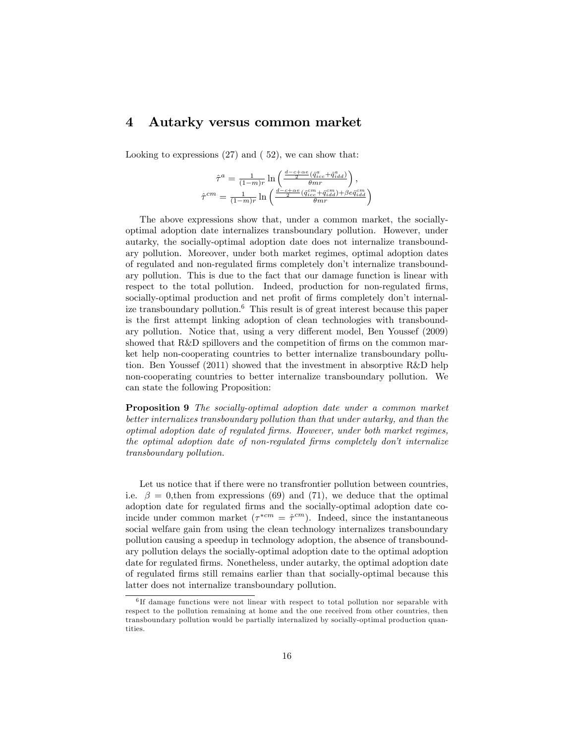## 4 Autarky versus common market

Looking to expressions (27) and ( 52), we can show that:

$$
\hat{\tau}^a = \frac{1}{(1-m)r} \ln \left( \frac{\frac{d-c+\alpha e}{2} (\hat{q}_{icc}^a + \hat{q}_{idd}^a)}{\theta m r} \right),
$$
\n
$$
\hat{\tau}^{cm} = \frac{1}{(1-m)r} \ln \left( \frac{\frac{d-c+\alpha e}{2} (\hat{q}_{icc}^{cm} + \hat{q}_{idd}^{cm}) + \beta e \hat{q}_{idd}^{cm}}{\theta m r} \right)
$$

The above expressions show that, under a common market, the sociallyoptimal adoption date internalizes transboundary pollution. However, under autarky, the socially-optimal adoption date does not internalize transboundary pollution. Moreover, under both market regimes, optimal adoption dates of regulated and non-regulated Örms completely donít internalize transboundary pollution. This is due to the fact that our damage function is linear with respect to the total pollution. Indeed, production for non-regulated firms, socially-optimal production and net profit of firms completely don't internalize transboundary pollution.<sup>6</sup> This result is of great interest because this paper is the first attempt linking adoption of clean technologies with transboundary pollution. Notice that, using a very different model, Ben Youssef (2009) showed that R&D spillovers and the competition of firms on the common market help non-cooperating countries to better internalize transboundary pollution. Ben Youssef (2011) showed that the investment in absorptive R&D help non-cooperating countries to better internalize transboundary pollution. We can state the following Proposition:

Proposition 9 The socially-optimal adoption date under a common market better internalizes transboundary pollution than that under autarky, and than the optimal adoption date of regulated Örms. However, under both market regimes, the optimal adoption date of non-regulated firms completely don't internalize transboundary pollution.

Let us notice that if there were no transfrontier pollution between countries, i.e.  $\beta = 0$ , then from expressions (69) and (71), we deduce that the optimal adoption date for regulated firms and the socially-optimal adoption date coincide under common market  $(\tau^{*cm} = \hat{\tau}^{cm})$ . Indeed, since the instantaneous social welfare gain from using the clean technology internalizes transboundary pollution causing a speedup in technology adoption, the absence of transboundary pollution delays the socially-optimal adoption date to the optimal adoption date for regulated firms. Nonetheless, under autarky, the optimal adoption date of regulated Örms still remains earlier than that socially-optimal because this latter does not internalize transboundary pollution.

<sup>6</sup> If damage functions were not linear with respect to total pollution nor separable with respect to the pollution remaining at home and the one received from other countries, then transboundary pollution would be partially internalized by socially-optimal production quantities.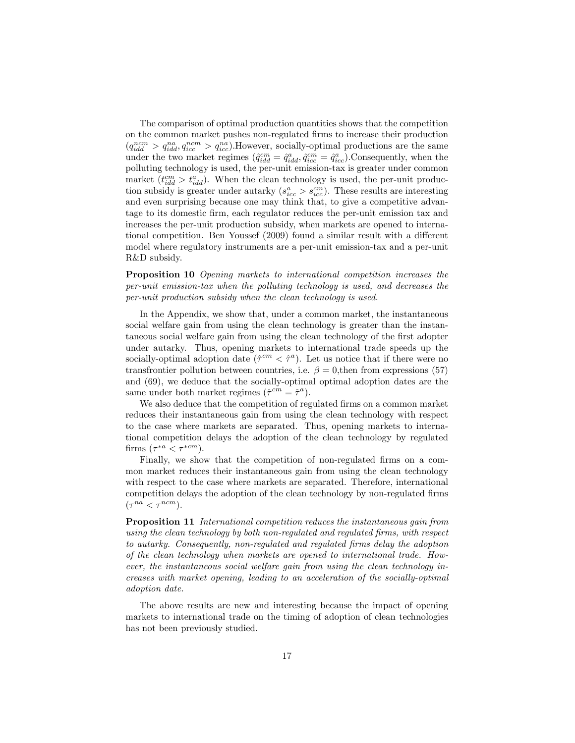The comparison of optimal production quantities shows that the competition on the common market pushes non-regulated Örms to increase their production  $(q_{idd}^{ncm} > q_{idd}^{na}, q_{icc}^{ncm} > q_{icc}^{na})$ . However, socially-optimal productions are the same under the two market regimes  $(\hat{q}^{cm}_{idd} = \hat{q}^{a}_{idd}, \hat{q}^{cm}_{icc} = \hat{q}^{a}_{icc})$ . Consequently, when the polluting technology is used, the per-unit emission-tax is greater under common market  $(t_{idd}^{cm} > t_{idd}^{a})$ . When the clean technology is used, the per-unit production subsidy is greater under autarky  $(s_{ice}^a > s_{ice}^{cm})$ . These results are interesting and even surprising because one may think that, to give a competitive advantage to its domestic Örm, each regulator reduces the per-unit emission tax and increases the per-unit production subsidy, when markets are opened to international competition. Ben Youssef (2009) found a similar result with a different model where regulatory instruments are a per-unit emission-tax and a per-unit R&D subsidy.

Proposition 10 Opening markets to international competition increases the per-unit emission-tax when the polluting technology is used, and decreases the per-unit production subsidy when the clean technology is used.

In the Appendix, we show that, under a common market, the instantaneous social welfare gain from using the clean technology is greater than the instantaneous social welfare gain from using the clean technology of the first adopter under autarky. Thus, opening markets to international trade speeds up the socially-optimal adoption date  $(\hat{\tau}^{cm} < \hat{\tau}^a)$ . Let us notice that if there were no transfrontier pollution between countries, i.e.  $\beta = 0$ , then from expressions (57) and (69), we deduce that the socially-optimal optimal adoption dates are the same under both market regimes  $(\hat{\tau}^{cm} = \hat{\tau}^a)$ .

We also deduce that the competition of regulated firms on a common market reduces their instantaneous gain from using the clean technology with respect to the case where markets are separated. Thus, opening markets to international competition delays the adoption of the clean technology by regulated firms  $(\tau^{*a} < \tau^{*cm}).$ 

Finally, we show that the competition of non-regulated firms on a common market reduces their instantaneous gain from using the clean technology with respect to the case where markets are separated. Therefore, international competition delays the adoption of the clean technology by non-regulated firms  $(\tau^{na} < \tau^{ncm}).$ 

Proposition 11 International competition reduces the instantaneous gain from using the clean technology by both non-regulated and regulated firms, with respect to autarky. Consequently, non-regulated and regulated Örms delay the adoption of the clean technology when markets are opened to international trade. However, the instantaneous social welfare gain from using the clean technology increases with market opening, leading to an acceleration of the socially-optimal adoption date.

The above results are new and interesting because the impact of opening markets to international trade on the timing of adoption of clean technologies has not been previously studied.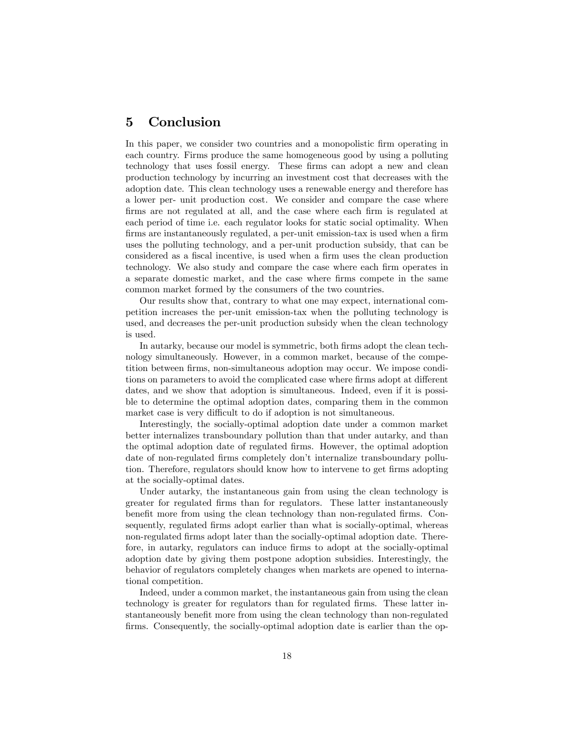## 5 Conclusion

In this paper, we consider two countries and a monopolistic firm operating in each country. Firms produce the same homogeneous good by using a polluting technology that uses fossil energy. These Örms can adopt a new and clean production technology by incurring an investment cost that decreases with the adoption date. This clean technology uses a renewable energy and therefore has a lower per- unit production cost. We consider and compare the case where firms are not regulated at all, and the case where each firm is regulated at each period of time i.e. each regulator looks for static social optimality. When firms are instantaneously regulated, a per-unit emission-tax is used when a firm uses the polluting technology, and a per-unit production subsidy, that can be considered as a fiscal incentive, is used when a firm uses the clean production technology. We also study and compare the case where each firm operates in a separate domestic market, and the case where firms compete in the same common market formed by the consumers of the two countries.

Our results show that, contrary to what one may expect, international competition increases the per-unit emission-tax when the polluting technology is used, and decreases the per-unit production subsidy when the clean technology is used.

In autarky, because our model is symmetric, both firms adopt the clean technology simultaneously. However, in a common market, because of the competition between firms, non-simultaneous adoption may occur. We impose conditions on parameters to avoid the complicated case where firms adopt at different dates, and we show that adoption is simultaneous. Indeed, even if it is possible to determine the optimal adoption dates, comparing them in the common market case is very difficult to do if adoption is not simultaneous.

Interestingly, the socially-optimal adoption date under a common market better internalizes transboundary pollution than that under autarky, and than the optimal adoption date of regulated firms. However, the optimal adoption date of non-regulated firms completely don't internalize transboundary pollution. Therefore, regulators should know how to intervene to get firms adopting at the socially-optimal dates.

Under autarky, the instantaneous gain from using the clean technology is greater for regulated Örms than for regulators. These latter instantaneously benefit more from using the clean technology than non-regulated firms. Consequently, regulated firms adopt earlier than what is socially-optimal, whereas non-regulated Örms adopt later than the socially-optimal adoption date. Therefore, in autarky, regulators can induce firms to adopt at the socially-optimal adoption date by giving them postpone adoption subsidies. Interestingly, the behavior of regulators completely changes when markets are opened to international competition.

Indeed, under a common market, the instantaneous gain from using the clean technology is greater for regulators than for regulated firms. These latter instantaneously benefit more from using the clean technology than non-regulated firms. Consequently, the socially-optimal adoption date is earlier than the op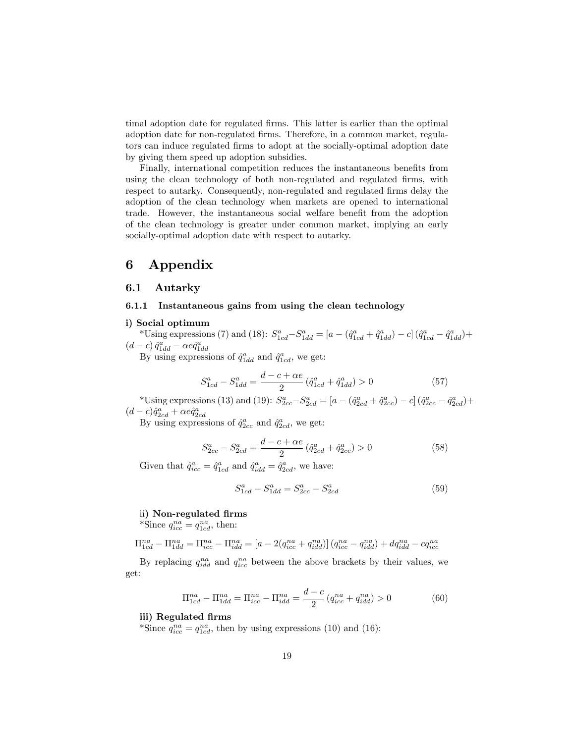timal adoption date for regulated firms. This latter is earlier than the optimal adoption date for non-regulated firms. Therefore, in a common market, regulators can induce regulated Örms to adopt at the socially-optimal adoption date by giving them speed up adoption subsidies.

Finally, international competition reduces the instantaneous benefits from using the clean technology of both non-regulated and regulated firms, with respect to autarky. Consequently, non-regulated and regulated firms delay the adoption of the clean technology when markets are opened to international trade. However, the instantaneous social welfare benefit from the adoption of the clean technology is greater under common market, implying an early socially-optimal adoption date with respect to autarky.

## 6 Appendix

#### 6.1 Autarky

#### 6.1.1 Instantaneous gains from using the clean technology

#### i) Social optimum

\*Using expressions (7) and (18):  $S_{1cd}^a - S_{1dd}^a = [a - (\hat{q}_{1cd}^a + \hat{q}_{1dd}^a) - c] (\hat{q}_{1cd}^a - \hat{q}_{1dd}^a) +$  $(d - c) \hat{q}_{1dd}^a - \alpha e \hat{q}_{1dd}^a$ <br>By using expressions of  $\hat{q}_{1dd}^a$  and  $\hat{q}_{1cd}^a$ , we get:

$$
S_{1cd}^{a} - S_{1dd}^{a} = \frac{d - c + \alpha e}{2} \left( \hat{q}_{1cd}^{a} + \hat{q}_{1dd}^{a} \right) > 0 \tag{57}
$$

\*Using expressions (13) and (19):  $S_{2cc}^a - S_{2cd}^a = [a - (\hat{q}_{2cd}^a + \hat{q}_{2cc}^a) - c] (\hat{q}_{2cc}^a - \hat{q}_{2cd}^a) +$  $(d - c)\hat{q}_{2cd}^a + \alpha e \hat{q}_{2cd}^a$ <br>By using expressions of  $\hat{q}_{2cc}^a$  and  $\hat{q}_{2cd}^a$ , we get:

$$
S_{2cc}^a - S_{2cd}^a = \frac{d - c + \alpha e}{2} \left( \hat{q}_{2cd}^a + \hat{q}_{2cc}^a \right) > 0 \tag{58}
$$

Given that  $\hat{q}^a_{icc} = \hat{q}^a_{1cd}$  and  $\hat{q}^a_{idd} = \hat{q}^a_{2cd}$ , we have:

$$
S_{1cd}^a - S_{1dd}^a = S_{2cc}^a - S_{2cd}^a \tag{59}
$$

#### ii) Non-regulated firms

\*Since  $q_{ice}^{na} = q_{1cd}^{na}$ , then:

$$
\Pi_{1cd}^{na} - \Pi_{1dd}^{na} = \Pi_{icc}^{na} - \Pi_{idd}^{na} = [a - 2(q_{icc}^{na} + q_{idd}^{na})] (q_{icc}^{na} - q_{idd}^{na}) + dq_{idd}^{na} - cq_{icc}^{na}
$$

By replacing  $q_{idd}^{na}$  and  $q_{icc}^{na}$  between the above brackets by their values, we get:

$$
\Pi_{1cd}^{na} - \Pi_{1dd}^{na} = \Pi_{icc}^{na} - \Pi_{idd}^{na} = \frac{d-c}{2} \left( q_{icc}^{na} + q_{idd}^{na} \right) > 0 \tag{60}
$$

#### iii) Regulated firms

\*Since  $q_{ice}^{na} = q_{1cd}^{na}$ , then by using expressions (10) and (16):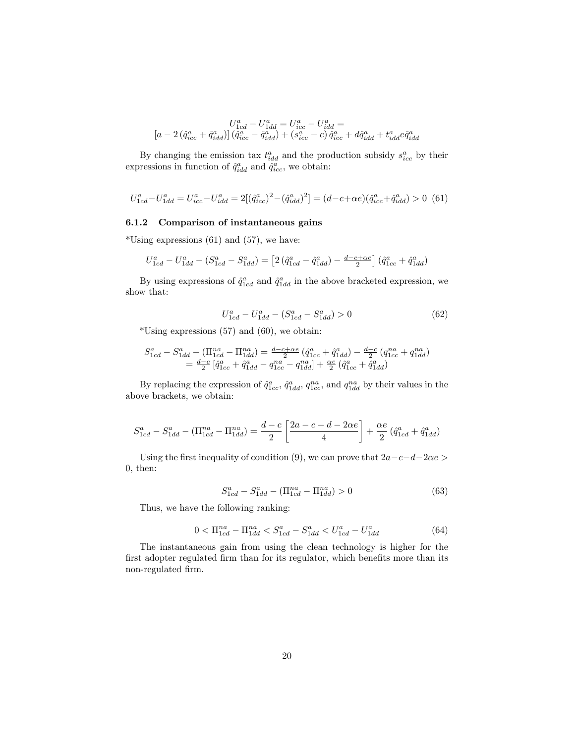$$
U_{1cd}^{a}-U_{1dd}^{a}=U_{icc}^{a}-U_{idd}^{a}=\\ \left[a-2\left(\hat{q}_{icc}^{a}+\hat{q}_{idd}^{a}\right)\right]\left(\hat{q}_{icc}^{a}-\hat{q}_{idd}^{a}\right)+\left(s_{icc}^{a}-c\right)\hat{q}_{icc}^{a}+d\hat{q}_{idd}^{a}+t_{idd}^{a}e\hat{q}_{idd}^{a}
$$

By changing the emission tax  $t_{idd}^a$  and the production subsidy  $s_{ice}^a$  by their expressions in function of  $\hat{q}^a_{idd}$  and  $\hat{q}^a_{ice}$ , we obtain:

$$
U_{1cd}^{a} - U_{1dd}^{a} = U_{icc}^{a} - U_{idd}^{a} = 2[(\hat{q}_{icc}^{a})^{2} - (\hat{q}_{idd}^{a})^{2}] = (d - c + \alpha e)(\hat{q}_{icc}^{a} + \hat{q}_{idd}^{a}) > 0
$$
(61)

#### 6.1.2 Comparison of instantaneous gains

\*Using expressions  $(61)$  and  $(57)$ , we have:

$$
U_{1cd}^{a} - U_{1dd}^{a} - (S_{1cd}^{a} - S_{1dd}^{a}) = [2(\hat{q}_{1cd}^{a} - \hat{q}_{1dd}^{a}) - \frac{d - c + \alpha e}{2}](\hat{q}_{1cc}^{a} + \hat{q}_{1dd}^{a})
$$

By using expressions of  $\hat{q}^a_{1cd}$  and  $\hat{q}^a_{1dd}$  in the above bracketed expression, we show that:

$$
U_{1cd}^{a} - U_{1dd}^{a} - (S_{1cd}^{a} - S_{1dd}^{a}) > 0
$$
\n(62)

 $*$ Using expressions (57) and (60), we obtain:

$$
\begin{array}{l} S^a_{1cd} - S^a_{1dd} - (\Pi^{na}_{1cd} - \Pi^{na}_{1dd}) = \frac{d-c+\alpha e}{2} \left( \hat{q}^a_{1cc} + \hat{q}^a_{1dd} \right) - \frac{d-c}{2} \left( q^{na}_{1cc} + q^{na}_{1dd} \right) \\ = \frac{d-c}{2} \left[ \hat{q}^a_{1cc} + \hat{q}^a_{1dd} - q^{na}_{1cc} - q^{na}_{1dd} \right] + \frac{\alpha e}{2} \left( \hat{q}^a_{1cc} + \hat{q}^a_{1dd} \right) \end{array}
$$

By replacing the expression of  $\hat{q}_{1cc}^a$ ,  $\hat{q}_{1dd}^a$ ,  $q_{1cc}^{na}$ , and  $q_{1dd}^{na}$  by their values in the above brackets, we obtain:

$$
S_{1cd}^{a} - S_{1dd}^{a} - (\Pi_{1cd}^{na} - \Pi_{1dd}^{na}) = \frac{d-c}{2} \left[ \frac{2a-c-d-2\alpha e}{4} \right] + \frac{\alpha e}{2} (\hat{q}_{1cd}^{a} + \hat{q}_{1dd}^{a})
$$

Using the first inequality of condition (9), we can prove that  $2a-c-d-2\alpha e >$ 0, then:

$$
S_{1cd}^{a} - S_{1dd}^{a} - (\Pi_{1cd}^{na} - \Pi_{1dd}^{na}) > 0
$$
\n(63)

Thus, we have the following ranking:

$$
0 < \Pi_{1cd}^{na} - \Pi_{1dd}^{na} < S_{1cd}^{a} - S_{1dd}^{a} < U_{1cd}^{a} - U_{1dd}^{a} \tag{64}
$$

The instantaneous gain from using the clean technology is higher for the first adopter regulated firm than for its regulator, which benefits more than its non-regulated firm.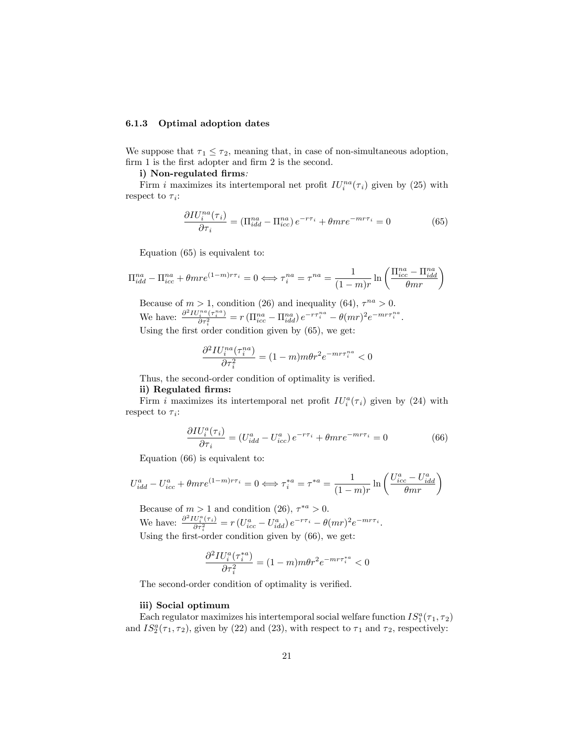#### 6.1.3 Optimal adoption dates

We suppose that  $\tau_1 \leq \tau_2$ , meaning that, in case of non-simultaneous adoption, firm 1 is the first adopter and firm 2 is the second.

#### i) Non-regulated firms:

Firm *i* maximizes its intertemporal net profit  $IU_i^{na}(\tau_i)$  given by (25) with respect to  $\tau_i$ :

$$
\frac{\partial I U_i^{na}(\tau_i)}{\partial \tau_i} = (\Pi_{idd}^{na} - \Pi_{icc}^{na}) e^{-r\tau_i} + \theta m r e^{-m r\tau_i} = 0 \tag{65}
$$

Equation (65) is equivalent to:

$$
\Pi_{idd}^{na} - \Pi_{icc}^{na} + \theta m r e^{(1-m)r\tau_i} = 0 \Longleftrightarrow \tau_i^{na} = \tau^{na} = \frac{1}{(1-m)r} \ln\left(\frac{\Pi_{icc}^{na} - \Pi_{idd}^{na}}{\theta m r}\right)
$$

Because of  $m > 1$ , condition (26) and inequality (64),  $\tau^{na} > 0$ . We have:  $\frac{\partial^2 IV_i^{na}(\tau_i^{na})}{\partial \tau_i^2} = r \left( \prod_{icc}^{na} - \prod_{idd}^{na} \right) e^{-r\tau_i^{na}} - \theta (mr)^2 e^{-mr\tau_i^{na}}$ . Using the first order condition given by  $(65)$ , we get:

$$
\frac{\partial^2 IV_i^{na}(\tau_i^{na})}{\partial \tau_i^2} = (1-m)m\theta r^2 e^{-mr\tau_i^{na}} < 0
$$

Thus, the second-order condition of optimality is verified.

#### ii) Regulated firms:

Firm *i* maximizes its intertemporal net profit  $IU_i^a(\tau_i)$  given by (24) with respect to  $\tau_i$ :

$$
\frac{\partial I U_i^a(\tau_i)}{\partial \tau_i} = (U_{idd}^a - U_{icc}^a) e^{-r\tau_i} + \theta m r e^{-m r\tau_i} = 0 \tag{66}
$$

Equation (66) is equivalent to:

$$
U_{idd}^a - U_{icc}^a + \theta m r e^{(1-m)r\tau_i} = 0 \Longleftrightarrow \tau_i^{*a} = \tau^{*a} = \frac{1}{(1-m)r} \ln\left(\frac{U_{icc}^a - U_{idd}^a}{\theta m r}\right)
$$

Because of  $m > 1$  and condition (26),  $\tau^{*a} > 0$ . We have:  $\frac{\partial^2 IV_i^a(\tau_i)}{\partial \tau_i^2} = r \left( U_{icc}^a - U_{idd}^a \right) e^{-r\tau_i} - \theta (mr)^2 e^{-mr\tau_i}$ . Using the first-order condition given by  $(66)$ , we get:

$$
\frac{\partial^2 IV_i^a(\tau_i^{*a})}{\partial \tau_i^2} = (1-m)m\theta r^2 e^{-m r \tau_i^{*a}} < 0
$$

The second-order condition of optimality is verified.

#### iii) Social optimum

Each regulator maximizes his intertemporal social welfare function  $IS_1^a(\tau_1, \tau_2)$ and  $IS_2^a(\tau_1, \tau_2)$ , given by (22) and (23), with respect to  $\tau_1$  and  $\tau_2$ , respectively: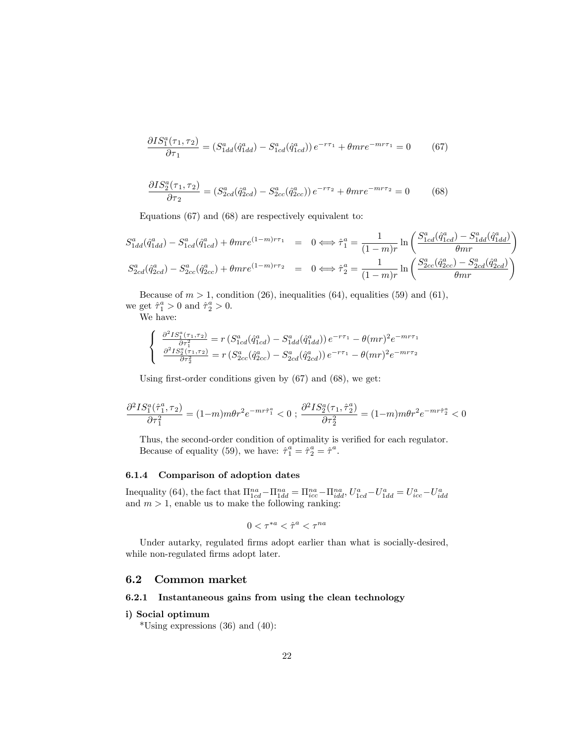$$
\frac{\partial IS_1^a(\tau_1, \tau_2)}{\partial \tau_1} = (S_{1dd}^a(\hat{q}_{1dd}^a) - S_{1cd}^a(\hat{q}_{1cd}^a))e^{-r\tau_1} + \theta m r e^{-m r \tau_1} = 0 \tag{67}
$$

$$
\frac{\partial IS_{2}^{a}(\tau_{1},\tau_{2})}{\partial \tau_{2}} = (S_{2cd}^{a}(\hat{q}_{2cd}^{a}) - S_{2cc}^{a}(\hat{q}_{2cc}^{a})) e^{-r\tau_{2}} + \theta m r e^{-m r \tau_{2}} = 0 \tag{68}
$$

Equations (67) and (68) are respectively equivalent to:

$$
S_{1dd}^{a}(\hat{q}_{1dd}^{a}) - S_{1cd}^{a}(\hat{q}_{1cd}^{a}) + \theta m r e^{(1-m)r\tau_{1}} = 0 \Longleftrightarrow \hat{\tau}_{1}^{a} = \frac{1}{(1-m)r} \ln \left( \frac{S_{1cd}^{a}(\hat{q}_{1cd}^{a}) - S_{1dd}^{a}(\hat{q}_{1dd}^{a})}{\theta m r} \right)
$$
  

$$
S_{2cd}^{a}(\hat{q}_{2cd}^{a}) - S_{2cc}^{a}(\hat{q}_{2cc}^{a}) + \theta m r e^{(1-m)r\tau_{2}} = 0 \Longleftrightarrow \hat{\tau}_{2}^{a} = \frac{1}{(1-m)r} \ln \left( \frac{S_{2cc}^{a}(\hat{q}_{2cc}^{a}) - S_{2cd}^{a}(\hat{q}_{2cd}^{a})}{\theta m r} \right)
$$

Because of  $m > 1$ , condition (26), inequalities (64), equalities (59) and (61), we get  $\hat{\tau}_1^a > 0$  and  $\hat{\tau}_2^a > 0$ .

We have:

$$
\begin{cases} \frac{\partial^2 IS_1^a(\tau_1, \tau_2)}{\partial \tau_1^2} = r \left( S_{1cd}^a(\hat{q}_{1cd}^a) - S_{1dd}^a(\hat{q}_{1dd}^a) \right) e^{-r\tau_1} - \theta (mr)^2 e^{-mr\tau_1} \\ \frac{\partial^2 IS_2^a(\tau_1, \tau_2)}{\partial \tau_2^2} = r \left( S_{2cc}^a(\hat{q}_{2cc}^a) - S_{2cd}^a(\hat{q}_{2cd}^a) \right) e^{-r\tau_1} - \theta (mr)^2 e^{-mr\tau_2} \end{cases}
$$

Using first-order conditions given by  $(67)$  and  $(68)$ , we get:

$$
\frac{\partial^2 IS_1^a(\hat{\tau}_1^a, \tau_2)}{\partial \tau_1^2} = (1-m)m\theta r^2 e^{-mr\hat{\tau}_1^a} < 0 \; ; \; \frac{\partial^2 IS_2^a(\tau_1, \hat{\tau}_2^a)}{\partial \tau_2^2} = (1-m)m\theta r^2 e^{-mr\hat{\tau}_2^a} < 0
$$

Thus, the second-order condition of optimality is verified for each regulator. Because of equality (59), we have:  $\hat{\tau}_1^a = \hat{\tau}_2^a = \hat{\tau}^a$ .

#### 6.1.4 Comparison of adoption dates

Inequality (64), the fact that  $\Pi_{1cd}^{na} - \Pi_{1dd}^{na} = \Pi_{icc}^{na} - \Pi_{idd}^{na}$ ,  $U_{1cd}^{a} - U_{1dd}^{a} = U_{icc}^{a} - U_{idd}^{a}$ <br>and  $m > 1$ , enable us to make the following ranking:

$$
0<\tau^{*a}<\hat{\tau}^a<\tau^{na}
$$

Under autarky, regulated firms adopt earlier than what is socially-desired, while non-regulated firms adopt later.

#### 6.2 Common market

#### 6.2.1 Instantaneous gains from using the clean technology

## i) Social optimum

\*Using expressions  $(36)$  and  $(40)$ :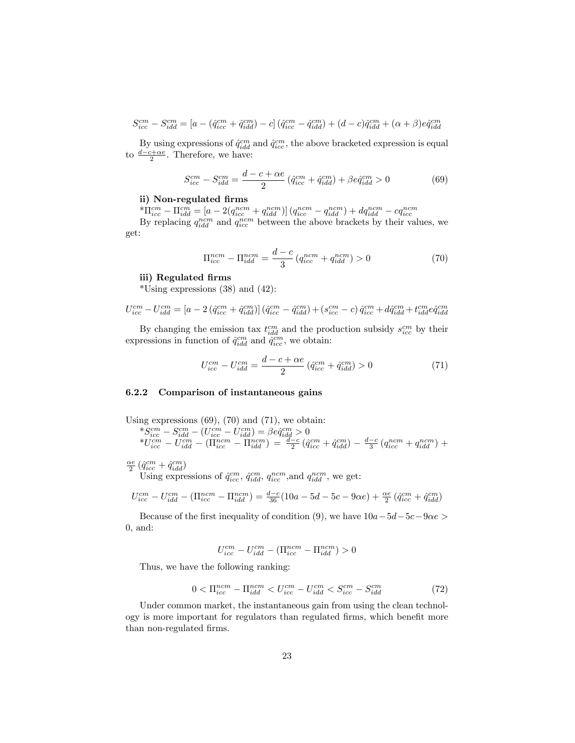$$
S_{icc}^{cm} - S_{idd}^{cm} = [a - (\hat{q}_{icc}^{cm} + \hat{q}_{idd}^{cm}) - c] (\hat{q}_{icc}^{cm} - \hat{q}_{idd}^{cm}) + (d - c)\hat{q}_{idd}^{cm} + (\alpha + \beta)e\hat{q}_{idd}^{cm}
$$

By using expressions of  $\hat{q}^{cm}_{idd}$  and  $\hat{q}^{cm}_{icc}$ , the above bracketed expression is equal to  $\frac{d-c+\alpha e}{2}$ . Therefore, we have:

$$
S_{icc}^{cm} - S_{idd}^{cm} = \frac{d - c + \alpha e}{2} \left( \hat{q}_{icc}^{cm} + \hat{q}_{idd}^{cm} \right) + \beta e \hat{q}_{idd}^{cm} > 0 \tag{69}
$$

#### ii) Non-regulated firms

 ${}^{*}\Pi_{icc}^{cm} - \Pi_{idd}^{cm} = [a - 2(q_{icc}^{ncm} + q_{idd}^{ncm})] (q_{icc}^{ncm} - q_{idd}^{ncm}) + dq_{idd}^{ncm} - cq_{icc}^{ncm})$ <br>By replacing  $q_{idd}^{ncm}$  and  $q_{icc}^{ncm}$  between the above brackets by their values, we get:

$$
\Pi_{icc}^{ncm} - \Pi_{idd}^{ncm} = \frac{d-c}{3} \left( q_{icc}^{ncm} + q_{idd}^{ncm} \right) > 0 \tag{70}
$$

#### iii) Regulated firms

 $*$ Using expressions (38) and (42):

$$
U_{icc}^{cm} - U_{idd}^{cm} = [a - 2(\hat{q}_{icc}^{cm} + \hat{q}_{idd}^{cm})] (\hat{q}_{icc}^{cm} - \hat{q}_{idd}^{cm}) + (s_{icc}^{cm} - c)\,\hat{q}_{icc}^{cm} + d\hat{q}_{idd}^{cm} + t_{idd}^{cm}e\hat{q}_{idd}^{cm})
$$

By changing the emission tax  $t_{idd}^{cm}$  and the production subsidy  $s_{ice}^{cm}$  by their expressions in function of  $\hat{q}^{cm}_{idd}$  and  $\hat{q}^{cm}_{icc}$ , we obtain:

$$
U_{icc}^{cm} - U_{idd}^{cm} = \frac{d - c + \alpha e}{2} \left( \hat{q}_{icc}^{cm} + \hat{q}_{idd}^{cm} \right) > 0 \tag{71}
$$

#### 6.2.2 Comparison of instantaneous gains

Using expressions 
$$
(69)
$$
,  $(70)$  and  $(71)$ , we obtain:

$$
\begin{array}{l} *{S_{ice}}^c - {S_{ide}^{cm}} - \left( {{U_{ice}^{cm}} - {U_{idd}^{cm}}} \right) = \beta {e\hat q_{idd}^{cm}} > 0\\ *{U_{ice}^{cm}} - {U_{idd}^{cm}} - \left( {\Pi _{ice}^{ncm}} - {\Pi _{idd}^{ncm}} \right) = \frac{{d - c}}{{2}}\left( {\hat q_{ice}^{cm}} + \hat q_{idd}^{cm} \right) - \frac{{d - c}}{{3}}\left( {q_{ice}^{ncm}} + {q_{idd}^{ncm}} \right) + \\ \end{array}
$$

$$
\frac{\alpha e}{2}\left(\hat{q}_{icc}^{cm}+\hat{q}_{idd}^{cm}\right)
$$
 Using expressions of  $\hat{q}_{icc}^{cm}$ ,  $\hat{q}_{idd}^{cm}$ ,  $q_{icc}^{ncm}$ , and  $q_{idd}^{ncm}$ , we get:

$$
U_{icc}^{cm} - U_{idd}^{cm} - (\Pi_{icc}^{ncm} - \Pi_{idd}^{ncm}) = \frac{d-c}{36} (10a - 5d - 5c - 9\alpha e) + \frac{\alpha e}{2} \left( \hat{q}_{icc}^{cm} + \hat{q}_{idd}^{cm} \right)
$$

Because of the first inequality of condition (9), we have  $10a-5d-5c-9\alpha e > 0$ 0, and:

$$
U_{icc}^{cm} - U_{idd}^{cm} - (\Pi_{icc}^{ncm} - \Pi_{idd}^{ncm}) > 0
$$

Thus, we have the following ranking:

$$
0 < \Pi_{icc}^{ncm} - \Pi_{idd}^{ncm} < U_{icc}^{cm} - U_{idd}^{cm} < S_{icc}^{cm} - S_{idd}^{cm} \tag{72}
$$

Under common market, the instantaneous gain from using the clean technology is more important for regulators than regulated firms, which benefit more than non-regulated firms.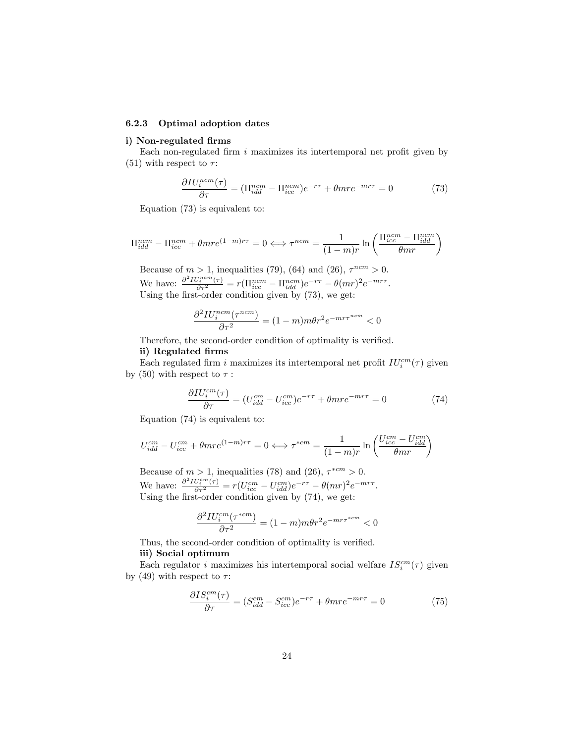#### 6.2.3 Optimal adoption dates

#### i) Non-regulated firms

Each non-regulated firm  $i$  maximizes its intertemporal net profit given by (51) with respect to  $\tau$ :

$$
\frac{\partial IV_i^{ncm}(\tau)}{\partial \tau} = (\Pi_{idd}^{ncm} - \Pi_{icc}^{ncm})e^{-r\tau} + \theta m r e^{-m r\tau} = 0 \tag{73}
$$

Equation (73) is equivalent to:

$$
\Pi_{idd}^{ncm} - \Pi_{icc}^{ncm} + \theta m r e^{(1-m)r\tau} = 0 \Longleftrightarrow \tau^{ncm} = \frac{1}{(1-m)r} \ln \left( \frac{\Pi_{icc}^{ncm} - \Pi_{idd}^{ncm}}{\theta m r} \right)
$$

Because of  $m > 1$ , inequalities (79), (64) and (26),  $\tau^{ncm} > 0$ . We have:  $\frac{\partial^2 IV_i^{ncm}(\tau)}{\partial \tau^2} = r(\Pi_{icc}^{ncm} - \Pi_{idd}^{ncm})e^{-r\tau} - \theta(mr)^2e^{-mr\tau}$ . Using the first-order condition given by  $(73)$ , we get:

$$
\frac{\partial^2 IV_i^{ncm}(\tau^{ncm})}{\partial \tau^2} = (1-m)m\theta r^2 e^{-mr\tau^{ncm}} < 0
$$

Therefore, the second-order condition of optimality is verified.

#### ii) Regulated firms

Each regulated firm i maximizes its intertemporal net profit  $IU_i^{cm}(\tau)$  given by (50) with respect to  $\tau$ :

$$
\frac{\partial IV_i^{cm}(\tau)}{\partial \tau} = (U_{idd}^{cm} - U_{icc}^{cm})e^{-r\tau} + \theta m r e^{-m r\tau} = 0 \tag{74}
$$

Equation (74) is equivalent to:

$$
U_{idd}^{cm} - U_{icc}^{cm} + \theta m r e^{(1-m)r\tau} = 0 \Longleftrightarrow \tau^{*cm} = \frac{1}{(1-m)r} \ln \left( \frac{U_{icc}^{cm} - U_{idd}^{cm}}{\theta m r} \right)
$$

Because of  $m > 1$ , inequalities (78) and (26),  $\tau^{*cm} > 0$ . We have:  $\frac{\partial^2 IV_i^{cm}(\tau)}{\partial \tau^2} = r(U_{icc}^{cm} - U_{idd}^{cm})e^{-r\tau} - \theta(mr)^2 e^{-mr\tau}$ . Using the first-order condition given by  $(74)$ , we get:

$$
\frac{\partial^2 IV_i^{cm}(\tau^{*cm})}{\partial \tau^2} = (1-m)m\theta r^2 e^{-mr\tau^{*cm}} < 0
$$

Thus, the second-order condition of optimality is verified. iii) Social optimum

Each regulator *i* maximizes his intertemporal social welfare  $IS_i^{cm}(\tau)$  given by (49) with respect to  $\tau$ :

$$
\frac{\partial IS_i^{cm}(\tau)}{\partial \tau} = (S_{idd}^{cm} - S_{ice}^{cm})e^{-r\tau} + \theta m r e^{-m r\tau} = 0 \tag{75}
$$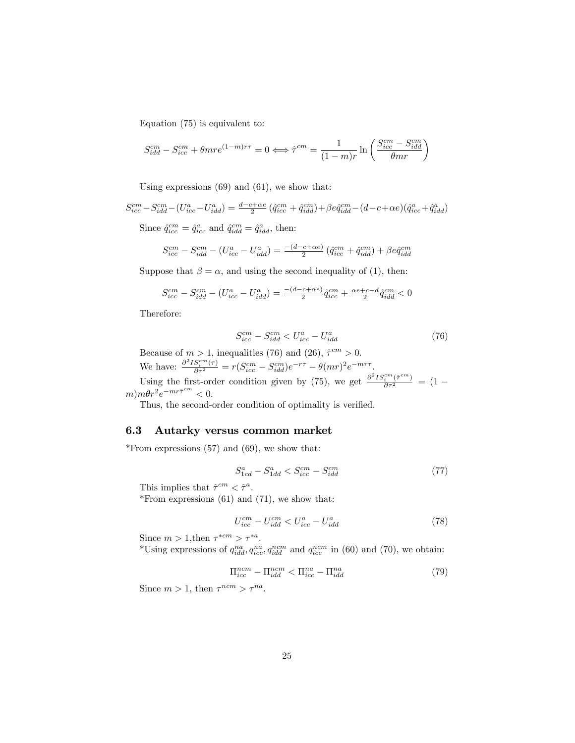Equation (75) is equivalent to:

$$
S_{idd}^{cm} - S_{icc}^{cm} + \theta m r e^{(1-m)r\tau} = 0 \Longleftrightarrow \hat{\tau}^{cm} = \frac{1}{(1-m)r} \ln \left( \frac{S_{icc}^{cm} - S_{idd}^{cm}}{\theta m r} \right)
$$

Using expressions (69) and (61), we show that:

$$
S_{icc}^{cm}-S_{idd}^{cm}-(U_{icc}^a-U_{idd}^a)=\tfrac{d-c+\alpha e}{2}\left(\hat{q}_{icc}^{cm}+\hat{q}_{idd}^{cm}\right)+\beta e \hat{q}_{idd}^{cm}-(d-c+\alpha e)\left(\hat{q}_{icc}^a+\hat{q}_{idd}^a\right)
$$

Since  $\hat{q}^{cm}_{icc} = \hat{q}^a_{icc}$  and  $\hat{q}^{cm}_{idd} = \hat{q}^a_{idd}$ , then:

$$
S_{icc}^{cm} - S_{idd}^{cm} - (U_{icc}^a - U_{idd}^a) = \frac{-(d - c + \alpha e)}{2} (\hat{q}_{icc}^{cm} + \hat{q}_{idd}^{cm}) + \beta e \hat{q}_{idd}^{cm}
$$

Suppose that  $\beta = \alpha$ , and using the second inequality of (1), then:

$$
S_{icc}^{cm} - S_{idd}^{cm} - (U_{icc}^a - U_{idd}^a) = \frac{-(d-c+\alpha e)}{2} \hat{q}_{icc}^{cm} + \frac{\alpha e + c - d}{2} \hat{q}_{idd}^{cm} < 0
$$

Therefore:

$$
S_{icc}^{cm} - S_{idd}^{cm} < U_{icc}^a - U_{idd}^a \tag{76}
$$

Because of  $m > 1$ , inequalities (76) and (26),  $\hat{\tau}^{cm} > 0$ . We have:  $\frac{\partial^2 IS_i^{cm}(\tau)}{\partial \tau^2} = r(S_{icc}^{cm} - S_{idd}^{cm})e^{-r\tau} - \theta(mr)^2e^{-mr\tau}$ .

Using the first-order condition given by (75), we get  $\frac{\partial^2 IS_i^{em}(\hat{\tau}^{cm})}{\partial \tau^2} = (1$  $m)m\theta r^2e^{-mr\hat{\tau}^{cm}} < 0.$ 

Thus, the second-order condition of optimality is verified.

#### 6.3 Autarky versus common market

\*From expressions  $(57)$  and  $(69)$ , we show that:

$$
S_{1cd}^a - S_{1dd}^a < S_{icc}^{cm} - S_{idd}^{cm} \tag{77}
$$

This implies that  $\hat{\tau}^{cm} < \hat{\tau}^a$ .

\*From expressions  $(61)$  and  $(71)$ , we show that:

$$
U_{icc}^{cm} - U_{idd}^{cm} < U_{icc}^{a} - U_{idd}^{a} \tag{78}
$$

Since  $m > 1$ , then  $\tau^{*cm} > \tau^{*a}$ .

\*Using expressions of  $q_{idd}^{na}, q_{ice}^{na}, q_{idd}^{ncm}$  and  $q_{ice}^{ncm}$  in (60) and (70), we obtain:

$$
\Pi_{icc}^{ncm} - \Pi_{idd}^{ncm} < \Pi_{icc}^{na} - \Pi_{idd}^{na} \tag{79}
$$

Since  $m > 1$ , then  $\tau^{ncm} > \tau^{na}$ .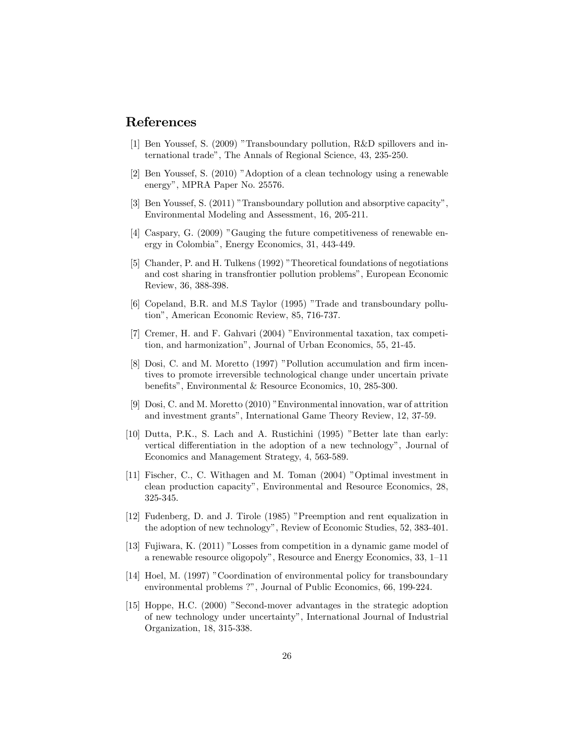## References

- [1] Ben Youssef, S. (2009) "Transboundary pollution, R&D spillovers and international tradeî, The Annals of Regional Science, 43, 235-250.
- $[2]$  Ben Youssef, S.  $(2010)$  "Adoption of a clean technology using a renewable energy", MPRA Paper No. 25576.
- [3] Ben Youssef, S. (2011) "Transboundary pollution and absorptive capacity", Environmental Modeling and Assessment, 16, 205-211.
- [4] Caspary, G.  $(2009)$  "Gauging the future competitiveness of renewable energy in Colombiaî, Energy Economics, 31, 443-449.
- [5] Chander, P. and H. Tulkens (1992) "Theoretical foundations of negotiations and cost sharing in transfrontier pollution problemsî, European Economic Review, 36, 388-398.
- [6] Copeland, B.R. and M.S Taylor (1995) "Trade and transboundary pollution", American Economic Review, 85, 716-737.
- [7] Cremer, H. and F. Gahvari (2004) îEnvironmental taxation, tax competition, and harmonization", Journal of Urban Economics, 55, 21-45.
- [8] Dosi, C. and M. Moretto (1997) "Pollution accumulation and firm incentives to promote irreversible technological change under uncertain private benefits", Environmental & Resource Economics, 10, 285-300.
- [9] Dosi, C. and M. Moretto  $(2010)$  "Environmental innovation, war of attrition and investment grants", International Game Theory Review, 12, 37-59.
- $[10]$  Dutta, P.K., S. Lach and A. Rustichini  $(1995)$  "Better late than early: vertical differentiation in the adoption of a new technology", Journal of Economics and Management Strategy, 4, 563-589.
- [11] Fischer, C., C. Withagen and M. Toman (2004) "Optimal investment in clean production capacityî, Environmental and Resource Economics, 28, 325-345.
- [12] Fudenberg, D. and J. Tirole (1985) "Preemption and rent equalization in the adoption of new technologyî, Review of Economic Studies, 52, 383-401.
- [13] Fujiwara, K. (2011) "Losses from competition in a dynamic game model of a renewable resource oligopoly", Resource and Energy Economics,  $33, 1-11$
- [14] Hoel, M. (1997) "Coordination of environmental policy for transboundary environmental problems ?", Journal of Public Economics, 66, 199-224.
- [15] Hoppe, H.C. (2000) "Second-mover advantages in the strategic adoption of new technology under uncertaintyî, International Journal of Industrial Organization, 18, 315-338.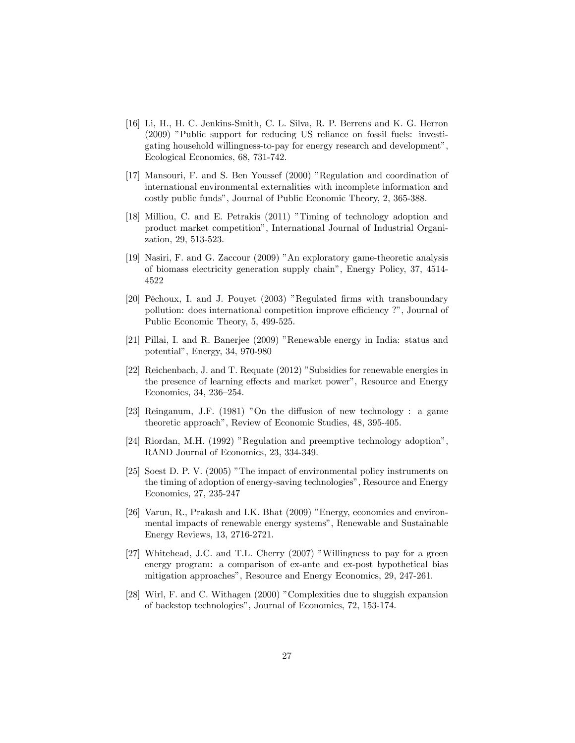- [16] Li, H., H. C. Jenkins-Smith, C. L. Silva, R. P. Berrens and K. G. Herron (2009) "Public support for reducing US reliance on fossil fuels: investigating household willingness-to-pay for energy research and development", Ecological Economics, 68, 731-742.
- [17] Mansouri, F. and S. Ben Youssef (2000) "Regulation and coordination of international environmental externalities with incomplete information and costly public fundsî, Journal of Public Economic Theory, 2, 365-388.
- [18] Milliou, C. and E. Petrakis (2011) "Timing of technology adoption and product market competitionî, International Journal of Industrial Organization, 29, 513-523.
- [19] Nasiri, F. and G. Zaccour (2009) "An exploratory game-theoretic analysis of biomass electricity generation supply chainî, Energy Policy, 37, 4514- 4522
- [20] Péchoux, I. and J. Pouyet (2003) "Regulated firms with transboundary pollution: does international competition improve efficiency ?", Journal of Public Economic Theory, 5, 499-525.
- [21] Pillai, I. and R. Banerjee (2009) "Renewable energy in India: status and potentialî, Energy, 34, 970-980
- [22] Reichenbach, J. and T. Requate (2012) "Subsidies for renewable energies in the presence of learning effects and market power", Resource and Energy Economics, 34, 236-254.
- [23] Reinganum, J.F.  $(1981)$  "On the diffusion of new technology : a game theoretic approach", Review of Economic Studies, 48, 395-405.
- [24] Riordan, M.H. (1992) "Regulation and preemptive technology adoption", RAND Journal of Economics, 23, 334-349.
- [25] Soest D. P. V. (2005) "The impact of environmental policy instruments on the timing of adoption of energy-saving technologiesî, Resource and Energy Economics, 27, 235-247
- [26] Varun, R., Prakash and I.K. Bhat  $(2009)$  "Energy, economics and environmental impacts of renewable energy systems", Renewable and Sustainable Energy Reviews, 13, 2716-2721.
- [27] Whitehead, J.C. and T.L. Cherry (2007) "Willingness to pay for a green energy program: a comparison of ex-ante and ex-post hypothetical bias mitigation approaches", Resource and Energy Economics, 29, 247-261.
- [28] Wirl, F. and C. Withagen (2000) "Complexities due to sluggish expansion of backstop technologiesî, Journal of Economics, 72, 153-174.